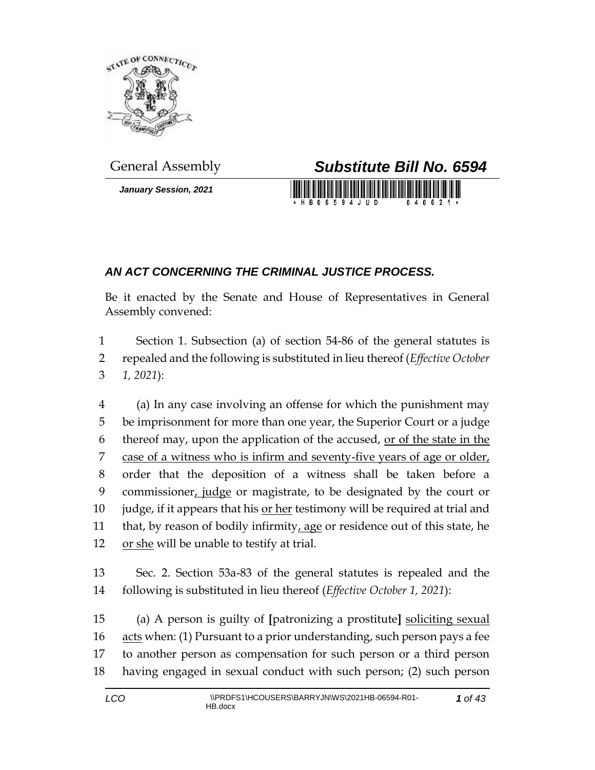

*January Session, 2021*



## *AN ACT CONCERNING THE CRIMINAL JUSTICE PROCESS.*

Be it enacted by the Senate and House of Representatives in General Assembly convened:

1 Section 1. Subsection (a) of section 54-86 of the general statutes is 2 repealed and the following is substituted in lieu thereof (*Effective October*  3 *1, 2021*):

4 (a) In any case involving an offense for which the punishment may 5 be imprisonment for more than one year, the Superior Court or a judge 6 thereof may, upon the application of the accused, or of the state in the 7 case of a witness who is infirm and seventy-five years of age or older, 8 order that the deposition of a witness shall be taken before a 9 commissioner, judge or magistrate, to be designated by the court or 10 judge, if it appears that his or her testimony will be required at trial and 11 that, by reason of bodily infirmity, age or residence out of this state, he 12 or she will be unable to testify at trial.

13 Sec. 2. Section 53a-83 of the general statutes is repealed and the 14 following is substituted in lieu thereof (*Effective October 1, 2021*):

 (a) A person is guilty of **[**patronizing a prostitute**]** soliciting sexual acts when: (1) Pursuant to a prior understanding, such person pays a fee to another person as compensation for such person or a third person having engaged in sexual conduct with such person; (2) such person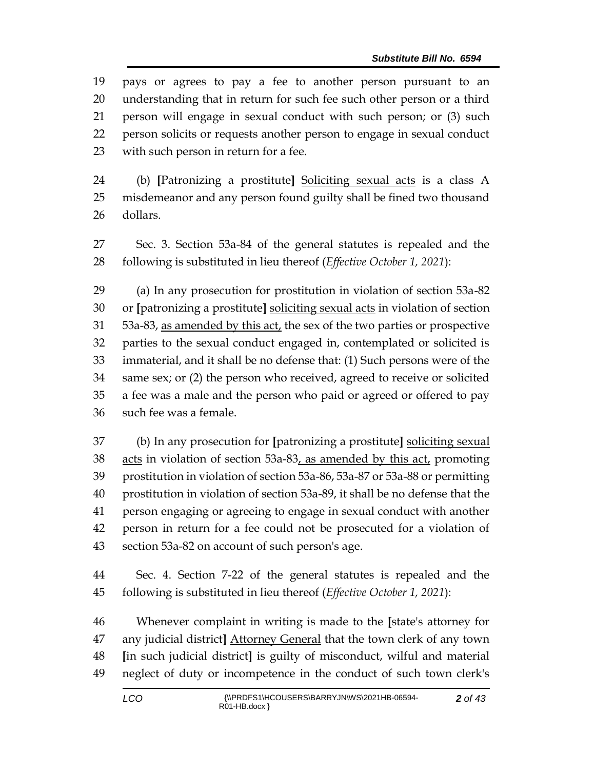pays or agrees to pay a fee to another person pursuant to an understanding that in return for such fee such other person or a third person will engage in sexual conduct with such person; or (3) such person solicits or requests another person to engage in sexual conduct with such person in return for a fee.

 (b) **[**Patronizing a prostitute**]** Soliciting sexual acts is a class A misdemeanor and any person found guilty shall be fined two thousand dollars.

 Sec. 3. Section 53a-84 of the general statutes is repealed and the following is substituted in lieu thereof (*Effective October 1, 2021*):

 (a) In any prosecution for prostitution in violation of section 53a-82 or **[**patronizing a prostitute**]** soliciting sexual acts in violation of section 53a-83, as amended by this act, the sex of the two parties or prospective parties to the sexual conduct engaged in, contemplated or solicited is immaterial, and it shall be no defense that: (1) Such persons were of the same sex; or (2) the person who received, agreed to receive or solicited a fee was a male and the person who paid or agreed or offered to pay such fee was a female.

 (b) In any prosecution for **[**patronizing a prostitute**]** soliciting sexual 38 acts in violation of section 53a-83, as amended by this act, promoting prostitution in violation of section 53a-86, 53a-87 or 53a-88 or permitting prostitution in violation of section 53a-89, it shall be no defense that the person engaging or agreeing to engage in sexual conduct with another person in return for a fee could not be prosecuted for a violation of section 53a-82 on account of such person's age.

 Sec. 4. Section 7-22 of the general statutes is repealed and the following is substituted in lieu thereof (*Effective October 1, 2021*):

 Whenever complaint in writing is made to the **[**state's attorney for any judicial district**]** Attorney General that the town clerk of any town **[**in such judicial district**]** is guilty of misconduct, wilful and material neglect of duty or incompetence in the conduct of such town clerk's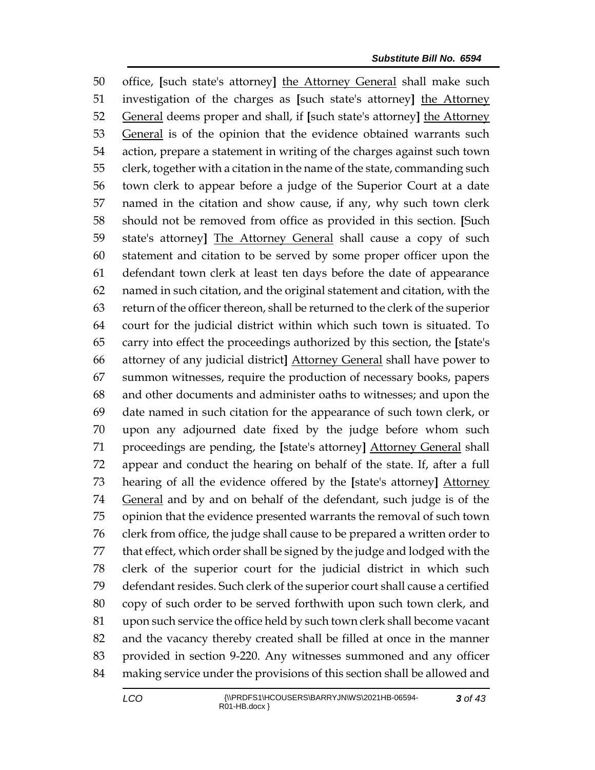office, **[**such state's attorney**]** the Attorney General shall make such investigation of the charges as **[**such state's attorney**]** the Attorney General deems proper and shall, if **[**such state's attorney**]** the Attorney General is of the opinion that the evidence obtained warrants such action, prepare a statement in writing of the charges against such town clerk, together with a citation in the name of the state, commanding such town clerk to appear before a judge of the Superior Court at a date named in the citation and show cause, if any, why such town clerk should not be removed from office as provided in this section. **[**Such state's attorney**]** The Attorney General shall cause a copy of such statement and citation to be served by some proper officer upon the defendant town clerk at least ten days before the date of appearance named in such citation, and the original statement and citation, with the return of the officer thereon, shall be returned to the clerk of the superior court for the judicial district within which such town is situated. To carry into effect the proceedings authorized by this section, the **[**state's attorney of any judicial district**]** Attorney General shall have power to summon witnesses, require the production of necessary books, papers and other documents and administer oaths to witnesses; and upon the date named in such citation for the appearance of such town clerk, or upon any adjourned date fixed by the judge before whom such proceedings are pending, the **[**state's attorney**]** Attorney General shall appear and conduct the hearing on behalf of the state. If, after a full hearing of all the evidence offered by the **[**state's attorney**]** Attorney General and by and on behalf of the defendant, such judge is of the opinion that the evidence presented warrants the removal of such town clerk from office, the judge shall cause to be prepared a written order to that effect, which order shall be signed by the judge and lodged with the clerk of the superior court for the judicial district in which such defendant resides. Such clerk of the superior court shall cause a certified copy of such order to be served forthwith upon such town clerk, and upon such service the office held by such town clerk shall become vacant and the vacancy thereby created shall be filled at once in the manner provided in section 9-220. Any witnesses summoned and any officer making service under the provisions of this section shall be allowed and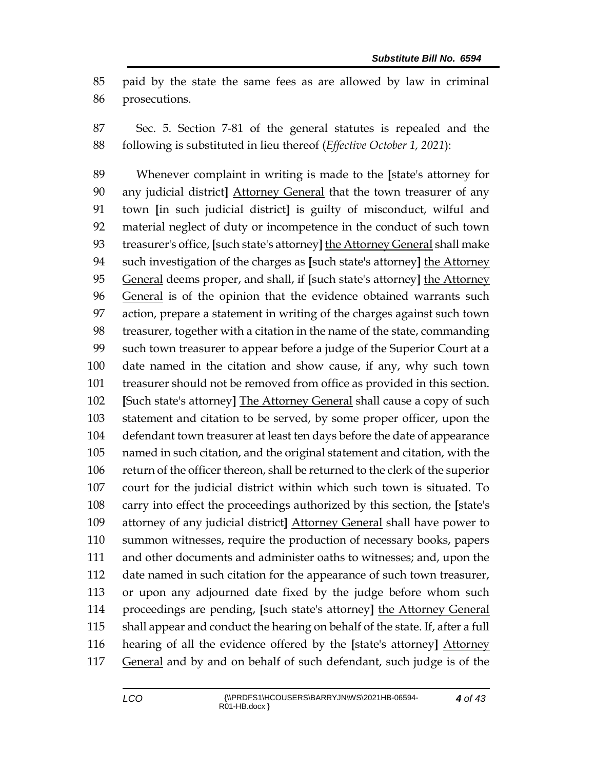paid by the state the same fees as are allowed by law in criminal prosecutions.

 Sec. 5. Section 7-81 of the general statutes is repealed and the following is substituted in lieu thereof (*Effective October 1, 2021*):

 Whenever complaint in writing is made to the **[**state's attorney for any judicial district**]** Attorney General that the town treasurer of any town **[**in such judicial district**]** is guilty of misconduct, wilful and material neglect of duty or incompetence in the conduct of such town treasurer's office, **[**such state's attorney**]** the Attorney General shall make such investigation of the charges as **[**such state's attorney**]** the Attorney General deems proper, and shall, if **[**such state's attorney**]** the Attorney General is of the opinion that the evidence obtained warrants such action, prepare a statement in writing of the charges against such town treasurer, together with a citation in the name of the state, commanding such town treasurer to appear before a judge of the Superior Court at a date named in the citation and show cause, if any, why such town treasurer should not be removed from office as provided in this section. **[**Such state's attorney**]** The Attorney General shall cause a copy of such statement and citation to be served, by some proper officer, upon the defendant town treasurer at least ten days before the date of appearance named in such citation, and the original statement and citation, with the return of the officer thereon, shall be returned to the clerk of the superior court for the judicial district within which such town is situated. To carry into effect the proceedings authorized by this section, the **[**state's attorney of any judicial district**]** Attorney General shall have power to summon witnesses, require the production of necessary books, papers and other documents and administer oaths to witnesses; and, upon the date named in such citation for the appearance of such town treasurer, or upon any adjourned date fixed by the judge before whom such proceedings are pending, **[**such state's attorney**]** the Attorney General shall appear and conduct the hearing on behalf of the state. If, after a full hearing of all the evidence offered by the **[**state's attorney**]** Attorney 117 General and by and on behalf of such defendant, such judge is of the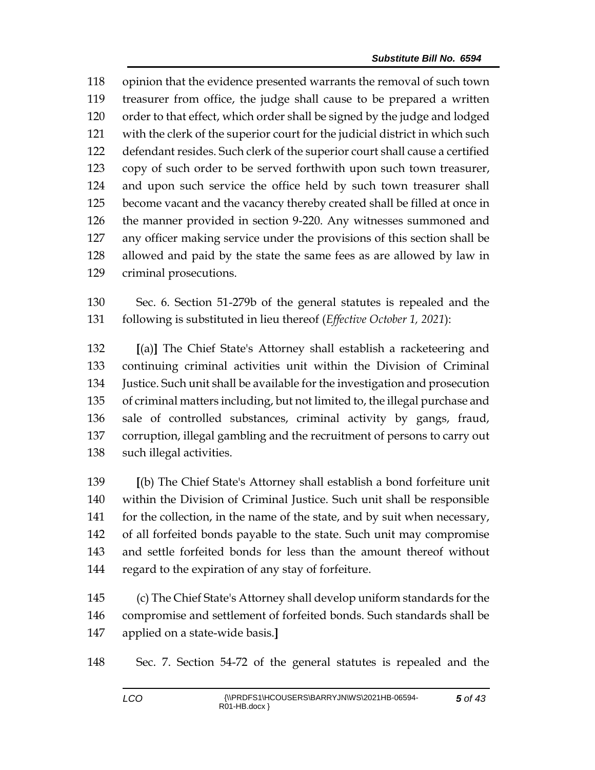opinion that the evidence presented warrants the removal of such town treasurer from office, the judge shall cause to be prepared a written order to that effect, which order shall be signed by the judge and lodged with the clerk of the superior court for the judicial district in which such defendant resides. Such clerk of the superior court shall cause a certified copy of such order to be served forthwith upon such town treasurer, and upon such service the office held by such town treasurer shall become vacant and the vacancy thereby created shall be filled at once in the manner provided in section 9-220. Any witnesses summoned and any officer making service under the provisions of this section shall be allowed and paid by the state the same fees as are allowed by law in criminal prosecutions.

 Sec. 6. Section 51-279b of the general statutes is repealed and the following is substituted in lieu thereof (*Effective October 1, 2021*):

 **[**(a)**]** The Chief State's Attorney shall establish a racketeering and continuing criminal activities unit within the Division of Criminal Justice. Such unit shall be available for the investigation and prosecution of criminal matters including, but not limited to, the illegal purchase and sale of controlled substances, criminal activity by gangs, fraud, corruption, illegal gambling and the recruitment of persons to carry out such illegal activities.

 **[**(b) The Chief State's Attorney shall establish a bond forfeiture unit within the Division of Criminal Justice. Such unit shall be responsible 141 for the collection, in the name of the state, and by suit when necessary, of all forfeited bonds payable to the state. Such unit may compromise and settle forfeited bonds for less than the amount thereof without regard to the expiration of any stay of forfeiture.

 (c) The Chief State's Attorney shall develop uniform standards for the compromise and settlement of forfeited bonds. Such standards shall be applied on a state-wide basis.**]**

Sec. 7. Section 54-72 of the general statutes is repealed and the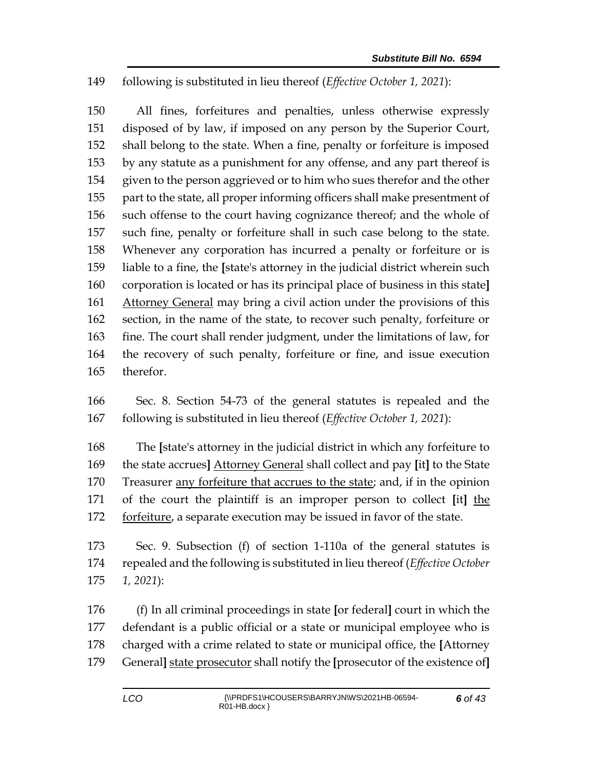## following is substituted in lieu thereof (*Effective October 1, 2021*):

 All fines, forfeitures and penalties, unless otherwise expressly disposed of by law, if imposed on any person by the Superior Court, shall belong to the state. When a fine, penalty or forfeiture is imposed by any statute as a punishment for any offense, and any part thereof is given to the person aggrieved or to him who sues therefor and the other part to the state, all proper informing officers shall make presentment of such offense to the court having cognizance thereof; and the whole of such fine, penalty or forfeiture shall in such case belong to the state. Whenever any corporation has incurred a penalty or forfeiture or is liable to a fine, the **[**state's attorney in the judicial district wherein such corporation is located or has its principal place of business in this state**]** 161 Attorney General may bring a civil action under the provisions of this section, in the name of the state, to recover such penalty, forfeiture or fine. The court shall render judgment, under the limitations of law, for the recovery of such penalty, forfeiture or fine, and issue execution therefor.

 Sec. 8. Section 54-73 of the general statutes is repealed and the following is substituted in lieu thereof (*Effective October 1, 2021*):

 The **[**state's attorney in the judicial district in which any forfeiture to the state accrues**]** Attorney General shall collect and pay **[**it**]** to the State Treasurer any forfeiture that accrues to the state; and, if in the opinion of the court the plaintiff is an improper person to collect **[**it**]** the forfeiture, a separate execution may be issued in favor of the state.

 Sec. 9. Subsection (f) of section 1-110a of the general statutes is repealed and the following is substituted in lieu thereof (*Effective October 1, 2021*):

 (f) In all criminal proceedings in state **[**or federal**]** court in which the defendant is a public official or a state or municipal employee who is charged with a crime related to state or municipal office, the **[**Attorney General**]** state prosecutor shall notify the **[**prosecutor of the existence of**]**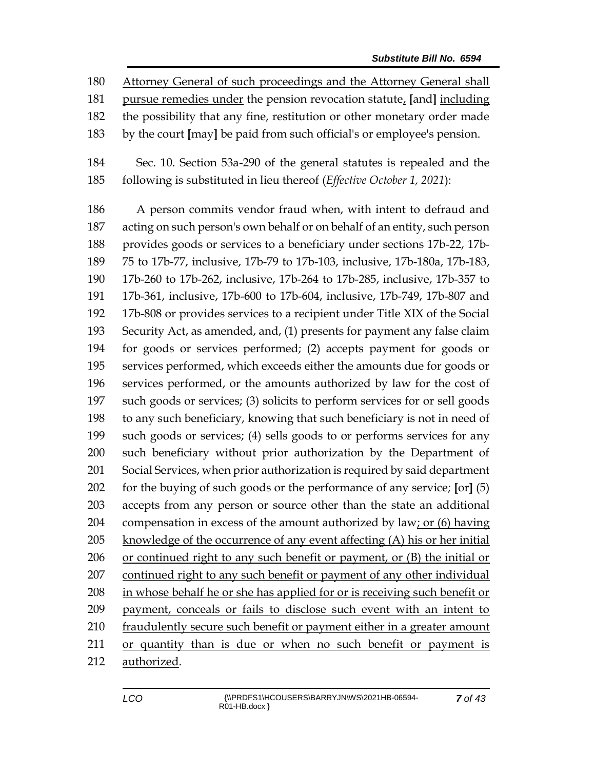Attorney General of such proceedings and the Attorney General shall

pursue remedies under the pension revocation statute, **[**and**]** including

- the possibility that any fine, restitution or other monetary order made
- by the court **[**may**]** be paid from such official's or employee's pension.
- Sec. 10. Section 53a-290 of the general statutes is repealed and the following is substituted in lieu thereof (*Effective October 1, 2021*):

 A person commits vendor fraud when, with intent to defraud and acting on such person's own behalf or on behalf of an entity, such person provides goods or services to a beneficiary under sections 17b-22, 17b- 75 to 17b-77, inclusive, 17b-79 to 17b-103, inclusive, 17b-180a, 17b-183, 17b-260 to 17b-262, inclusive, 17b-264 to 17b-285, inclusive, 17b-357 to 17b-361, inclusive, 17b-600 to 17b-604, inclusive, 17b-749, 17b-807 and 17b-808 or provides services to a recipient under Title XIX of the Social Security Act, as amended, and, (1) presents for payment any false claim for goods or services performed; (2) accepts payment for goods or services performed, which exceeds either the amounts due for goods or services performed, or the amounts authorized by law for the cost of such goods or services; (3) solicits to perform services for or sell goods to any such beneficiary, knowing that such beneficiary is not in need of such goods or services; (4) sells goods to or performs services for any such beneficiary without prior authorization by the Department of Social Services, when prior authorization is required by said department for the buying of such goods or the performance of any service; **[**or**]** (5) accepts from any person or source other than the state an additional 204 compensation in excess of the amount authorized by law; or (6) having knowledge of the occurrence of any event affecting (A) his or her initial or continued right to any such benefit or payment, or (B) the initial or 207 continued right to any such benefit or payment of any other individual in whose behalf he or she has applied for or is receiving such benefit or payment, conceals or fails to disclose such event with an intent to fraudulently secure such benefit or payment either in a greater amount or quantity than is due or when no such benefit or payment is authorized.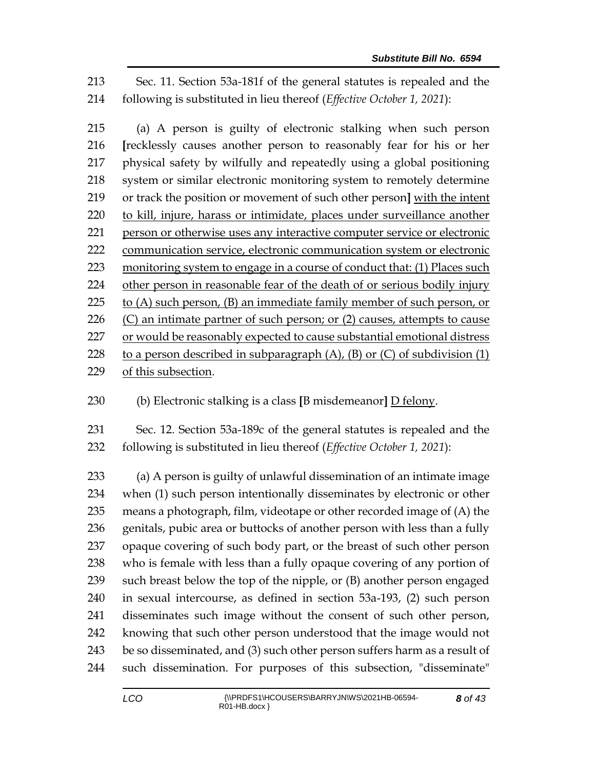Sec. 11. Section 53a-181f of the general statutes is repealed and the following is substituted in lieu thereof (*Effective October 1, 2021*):

 (a) A person is guilty of electronic stalking when such person **[**recklessly causes another person to reasonably fear for his or her physical safety by wilfully and repeatedly using a global positioning system or similar electronic monitoring system to remotely determine or track the position or movement of such other person**]** with the intent to kill, injure, harass or intimidate, places under surveillance another person or otherwise uses any interactive computer service or electronic communication service, electronic communication system or electronic monitoring system to engage in a course of conduct that: (1) Places such other person in reasonable fear of the death of or [serious bodily injury](https://www.law.cornell.edu/definitions/uscode.php?width=840&height=800&iframe=true&def_id=18-USC-402227300-1416750995&term_occur=999&term_src=title:18:part:I:chapter:110A:section:2261A) 225 to  $(A)$  such person,  $(B)$  an immediate family member of such person, or  $(C)$  an intimate partner of such person; or  $(2)$  causes, attempts to cause 227 or would be reasonably expected to cause substantial emotional distress 228 to a person described in subparagraph  $(A)$ ,  $(B)$  or  $(C)$  of subdivision  $(1)$ of this subsection.

(b) Electronic stalking is a class **[**B misdemeanor**]** D felony.

 Sec. 12. Section 53a-189c of the general statutes is repealed and the following is substituted in lieu thereof (*Effective October 1, 2021*):

 (a) A person is guilty of unlawful dissemination of an intimate image when (1) such person intentionally disseminates by electronic or other means a photograph, film, videotape or other recorded image of (A) the genitals, pubic area or buttocks of another person with less than a fully opaque covering of such body part, or the breast of such other person who is female with less than a fully opaque covering of any portion of such breast below the top of the nipple, or (B) another person engaged in sexual intercourse, as defined in section 53a-193, (2) such person disseminates such image without the consent of such other person, knowing that such other person understood that the image would not be so disseminated, and (3) such other person suffers harm as a result of such dissemination. For purposes of this subsection, "disseminate"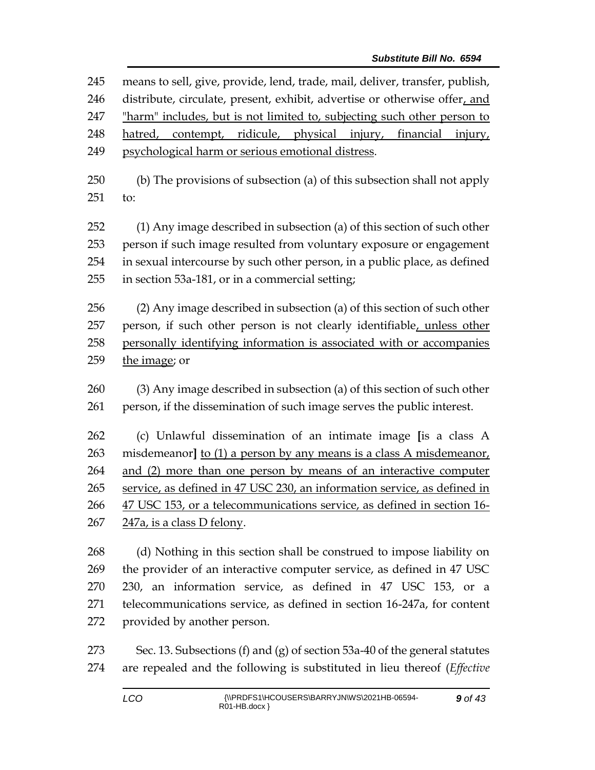means to sell, give, provide, lend, trade, mail, deliver, transfer, publish, distribute, circulate, present, exhibit, advertise or otherwise offer, and "harm" includes, but is not limited to, subjecting such other person to hatred, contempt, ridicule, physical injury, financial injury, psychological harm or serious emotional distress. (b) The provisions of subsection (a) of this subsection shall not apply to: (1) Any image described in subsection (a) of this section of such other person if such image resulted from voluntary exposure or engagement in sexual intercourse by such other person, in a public place, as defined in section 53a-181, or in a commercial setting; (2) Any image described in subsection (a) of this section of such other 257 person, if such other person is not clearly identifiable, unless other personally identifying information is associated with or accompanies the image; or (3) Any image described in subsection (a) of this section of such other person, if the dissemination of such image serves the public interest. (c) Unlawful dissemination of an intimate image **[**is a class A misdemeanor**]** to (1) a person by any means is a class A misdemeanor, and (2) more than one person by means of an interactive computer service, as defined in 47 USC 230, an information service, as defined in 47 USC 153, or a telecommunications service, as defined in section 16- 247a, is a class D felony. (d) Nothing in this section shall be construed to impose liability on the provider of an interactive computer service, as defined in 47 USC 230, an information service, as defined in 47 USC 153, or a telecommunications service, as defined in section 16-247a, for content provided by another person. Sec. 13. Subsections (f) and (g) of section 53a-40 of the general statutes

are repealed and the following is substituted in lieu thereof (*Effective*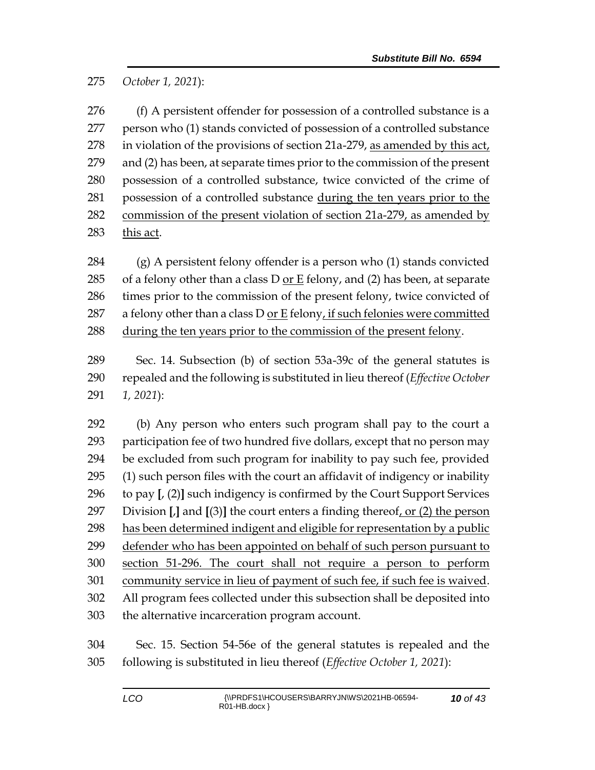*October 1, 2021*):

276 (f) A persistent offender for possession of a controlled substance is a person who (1) stands convicted of possession of a controlled substance in violation of the provisions of section 21a-279, as amended by this act, and (2) has been, at separate times prior to the commission of the present possession of a controlled substance, twice convicted of the crime of possession of a controlled substance during the ten years prior to the commission of the present violation of section 21a-279, as amended by this act.

 (g) A persistent felony offender is a person who (1) stands convicted 285 of a felony other than a class  $D$  or  $E$  felony, and (2) has been, at separate times prior to the commission of the present felony, twice convicted of 287 a felony other than a class D <u>or E</u> felony, if such felonies were committed 288 during the ten years prior to the commission of the present felony.

 Sec. 14. Subsection (b) of section 53a-39c of the general statutes is repealed and the following is substituted in lieu thereof (*Effective October 1, 2021*):

 (b) Any person who enters such program shall pay to the court a participation fee of two hundred five dollars, except that no person may be excluded from such program for inability to pay such fee, provided (1) such person files with the court an affidavit of indigency or inability to pay **[**, (2)**]** such indigency is confirmed by the Court Support Services Division **[**,**]** and **[**(3)**]** the court enters a finding thereof, or (2) the person has been determined indigent and eligible for representation by a public defender who has been appointed on behalf of such person pursuant to section 51-296. The court shall not require a person to perform community service in lieu of payment of such fee, if such fee is waived. All program fees collected under this subsection shall be deposited into the alternative incarceration program account.

 Sec. 15. Section 54-56e of the general statutes is repealed and the following is substituted in lieu thereof (*Effective October 1, 2021*):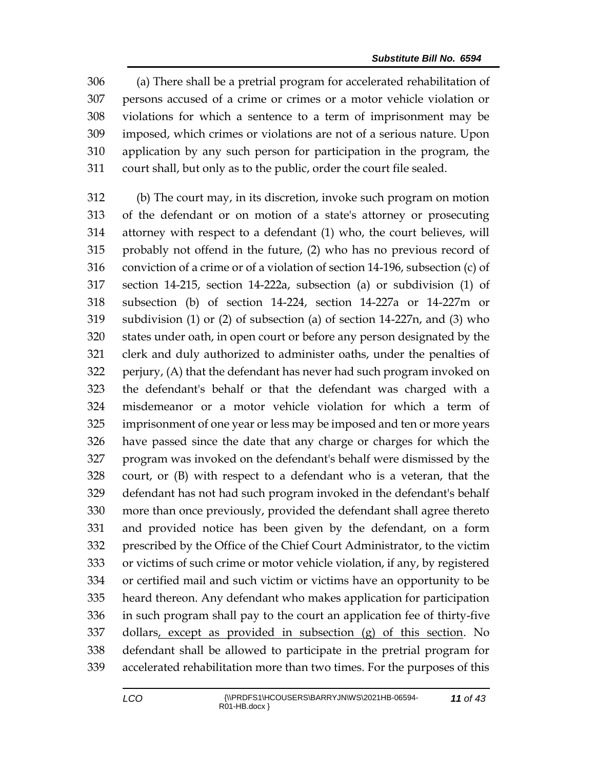(a) There shall be a pretrial program for accelerated rehabilitation of persons accused of a crime or crimes or a motor vehicle violation or violations for which a sentence to a term of imprisonment may be imposed, which crimes or violations are not of a serious nature. Upon application by any such person for participation in the program, the court shall, but only as to the public, order the court file sealed.

 (b) The court may, in its discretion, invoke such program on motion of the defendant or on motion of a state's attorney or prosecuting attorney with respect to a defendant (1) who, the court believes, will probably not offend in the future, (2) who has no previous record of conviction of a crime or of a violation of section 14-196, subsection (c) of section 14-215, section 14-222a, subsection (a) or subdivision (1) of subsection (b) of section 14-224, section 14-227a or 14-227m or subdivision (1) or (2) of subsection (a) of section 14-227n, and (3) who states under oath, in open court or before any person designated by the clerk and duly authorized to administer oaths, under the penalties of perjury, (A) that the defendant has never had such program invoked on the defendant's behalf or that the defendant was charged with a misdemeanor or a motor vehicle violation for which a term of imprisonment of one year or less may be imposed and ten or more years have passed since the date that any charge or charges for which the program was invoked on the defendant's behalf were dismissed by the court, or (B) with respect to a defendant who is a veteran, that the defendant has not had such program invoked in the defendant's behalf more than once previously, provided the defendant shall agree thereto and provided notice has been given by the defendant, on a form prescribed by the Office of the Chief Court Administrator, to the victim or victims of such crime or motor vehicle violation, if any, by registered or certified mail and such victim or victims have an opportunity to be heard thereon. Any defendant who makes application for participation in such program shall pay to the court an application fee of thirty-five dollars, except as provided in subsection (g) of this section. No defendant shall be allowed to participate in the pretrial program for accelerated rehabilitation more than two times. For the purposes of this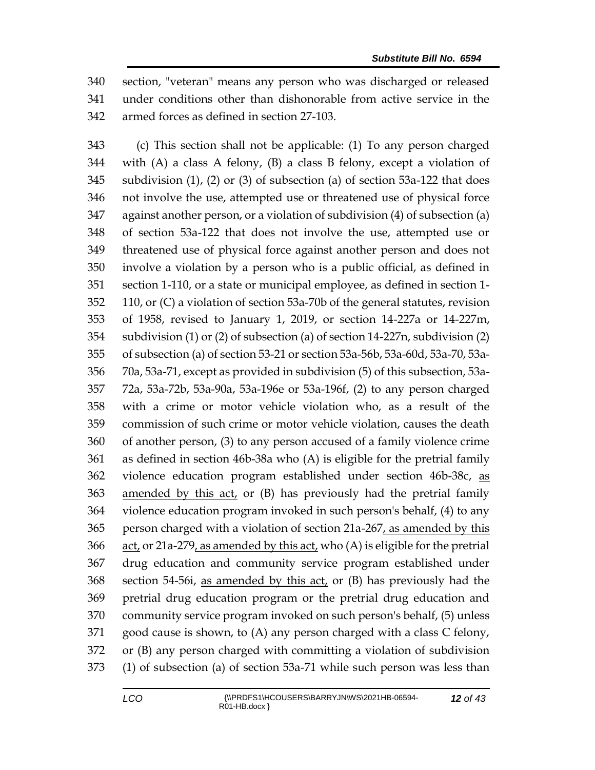section, "veteran" means any person who was discharged or released under conditions other than dishonorable from active service in the armed forces as defined in section 27-103.

 (c) This section shall not be applicable: (1) To any person charged with (A) a class A felony, (B) a class B felony, except a violation of subdivision (1), (2) or (3) of subsection (a) of section 53a-122 that does not involve the use, attempted use or threatened use of physical force against another person, or a violation of subdivision (4) of subsection (a) of section 53a-122 that does not involve the use, attempted use or threatened use of physical force against another person and does not involve a violation by a person who is a public official, as defined in section 1-110, or a state or municipal employee, as defined in section 1- 110, or (C) a violation of section 53a-70b of the general statutes, revision of 1958, revised to January 1, 2019, or section 14-227a or 14-227m, subdivision (1) or (2) of subsection (a) of section 14-227n, subdivision (2) of subsection (a) of section 53-21 or section 53a-56b, 53a-60d, 53a-70, 53a- 70a, 53a-71, except as provided in subdivision (5) of this subsection, 53a- 72a, 53a-72b, 53a-90a, 53a-196e or 53a-196f, (2) to any person charged with a crime or motor vehicle violation who, as a result of the commission of such crime or motor vehicle violation, causes the death of another person, (3) to any person accused of a family violence crime as defined in section 46b-38a who (A) is eligible for the pretrial family violence education program established under section 46b-38c, as amended by this act, or (B) has previously had the pretrial family violence education program invoked in such person's behalf, (4) to any person charged with a violation of section 21a-267, as amended by this act, or 21a-279, as amended by this act, who (A) is eligible for the pretrial drug education and community service program established under section 54-56i, as amended by this act, or (B) has previously had the pretrial drug education program or the pretrial drug education and community service program invoked on such person's behalf, (5) unless good cause is shown, to (A) any person charged with a class C felony, or (B) any person charged with committing a violation of subdivision (1) of subsection (a) of section 53a-71 while such person was less than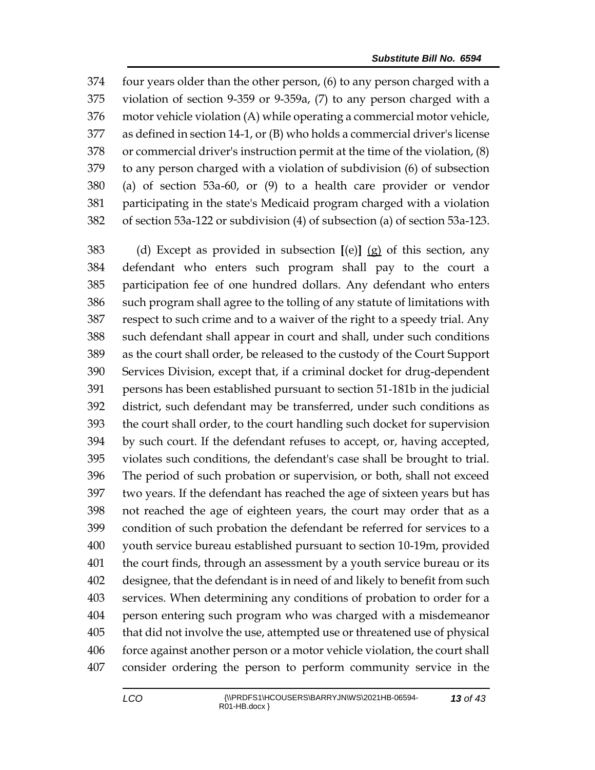four years older than the other person, (6) to any person charged with a violation of section 9-359 or 9-359a, (7) to any person charged with a motor vehicle violation (A) while operating a commercial motor vehicle, as defined in section 14-1, or (B) who holds a commercial driver's license or commercial driver's instruction permit at the time of the violation, (8) to any person charged with a violation of subdivision (6) of subsection (a) of section 53a-60, or (9) to a health care provider or vendor participating in the state's Medicaid program charged with a violation of section 53a-122 or subdivision (4) of subsection (a) of section 53a-123.

 (d) Except as provided in subsection **[**(e)**]** (g) of this section, any defendant who enters such program shall pay to the court a participation fee of one hundred dollars. Any defendant who enters such program shall agree to the tolling of any statute of limitations with respect to such crime and to a waiver of the right to a speedy trial. Any such defendant shall appear in court and shall, under such conditions as the court shall order, be released to the custody of the Court Support Services Division, except that, if a criminal docket for drug-dependent persons has been established pursuant to section 51-181b in the judicial district, such defendant may be transferred, under such conditions as the court shall order, to the court handling such docket for supervision by such court. If the defendant refuses to accept, or, having accepted, violates such conditions, the defendant's case shall be brought to trial. The period of such probation or supervision, or both, shall not exceed two years. If the defendant has reached the age of sixteen years but has not reached the age of eighteen years, the court may order that as a condition of such probation the defendant be referred for services to a youth service bureau established pursuant to section 10-19m, provided the court finds, through an assessment by a youth service bureau or its designee, that the defendant is in need of and likely to benefit from such services. When determining any conditions of probation to order for a person entering such program who was charged with a misdemeanor that did not involve the use, attempted use or threatened use of physical force against another person or a motor vehicle violation, the court shall consider ordering the person to perform community service in the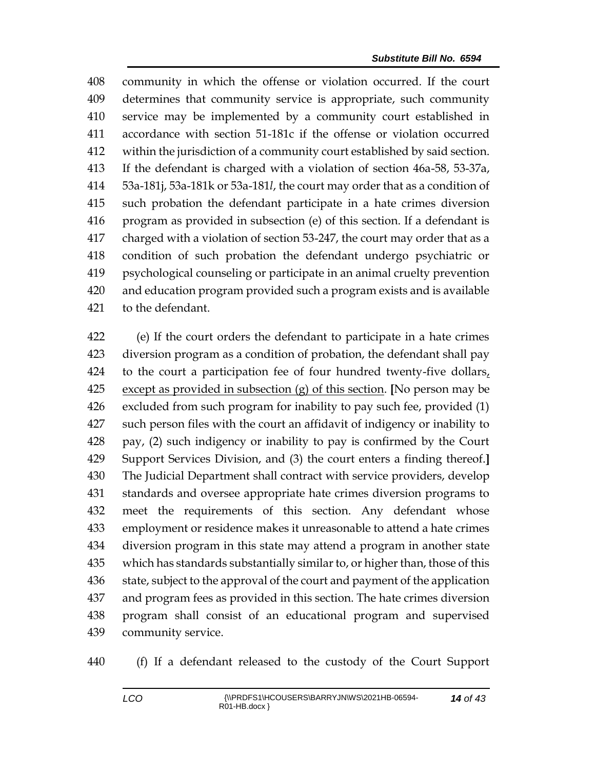community in which the offense or violation occurred. If the court determines that community service is appropriate, such community service may be implemented by a community court established in accordance with section 51-181c if the offense or violation occurred within the jurisdiction of a community court established by said section. If the defendant is charged with a violation of section 46a-58, 53-37a, 53a-181j, 53a-181k or 53a-181*l*, the court may order that as a condition of such probation the defendant participate in a hate crimes diversion program as provided in subsection (e) of this section. If a defendant is charged with a violation of section 53-247, the court may order that as a condition of such probation the defendant undergo psychiatric or psychological counseling or participate in an animal cruelty prevention and education program provided such a program exists and is available to the defendant.

 (e) If the court orders the defendant to participate in a hate crimes diversion program as a condition of probation, the defendant shall pay to the court a participation fee of four hundred twenty-five dollars, except as provided in subsection (g) of this section. **[**No person may be excluded from such program for inability to pay such fee, provided (1) such person files with the court an affidavit of indigency or inability to pay, (2) such indigency or inability to pay is confirmed by the Court Support Services Division, and (3) the court enters a finding thereof.**]** The Judicial Department shall contract with service providers, develop standards and oversee appropriate hate crimes diversion programs to meet the requirements of this section. Any defendant whose employment or residence makes it unreasonable to attend a hate crimes diversion program in this state may attend a program in another state which has standards substantially similar to, or higher than, those of this 436 state, subject to the approval of the court and payment of the application and program fees as provided in this section. The hate crimes diversion program shall consist of an educational program and supervised community service.

(f) If a defendant released to the custody of the Court Support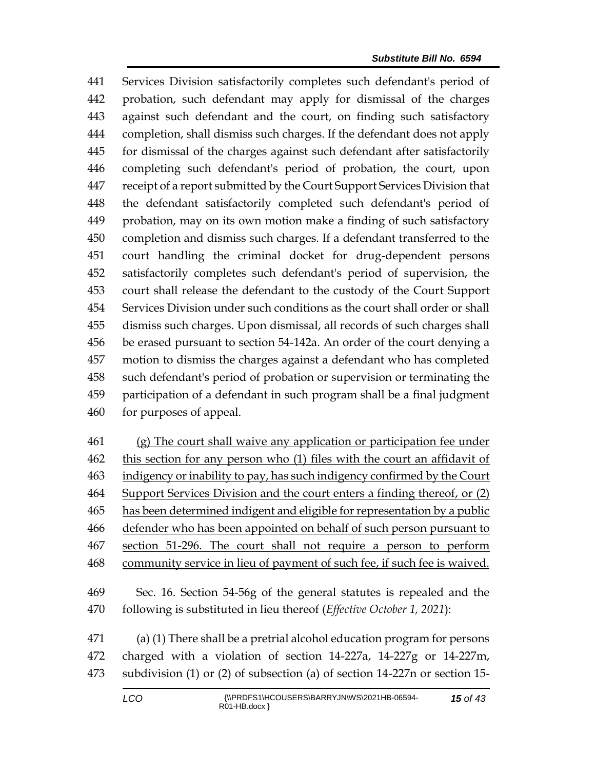Services Division satisfactorily completes such defendant's period of probation, such defendant may apply for dismissal of the charges against such defendant and the court, on finding such satisfactory completion, shall dismiss such charges. If the defendant does not apply for dismissal of the charges against such defendant after satisfactorily completing such defendant's period of probation, the court, upon receipt of a report submitted by the Court Support Services Division that the defendant satisfactorily completed such defendant's period of probation, may on its own motion make a finding of such satisfactory completion and dismiss such charges. If a defendant transferred to the court handling the criminal docket for drug-dependent persons satisfactorily completes such defendant's period of supervision, the court shall release the defendant to the custody of the Court Support Services Division under such conditions as the court shall order or shall dismiss such charges. Upon dismissal, all records of such charges shall be erased pursuant to section 54-142a. An order of the court denying a motion to dismiss the charges against a defendant who has completed such defendant's period of probation or supervision or terminating the participation of a defendant in such program shall be a final judgment for purposes of appeal.

 (g) The court shall waive any application or participation fee under this section for any person who (1) files with the court an affidavit of indigency or inability to pay, has such indigency confirmed by the Court Support Services Division and the court enters a finding thereof, or (2) has been determined indigent and eligible for representation by a public defender who has been appointed on behalf of such person pursuant to section 51-296. The court shall not require a person to perform 468 community service in lieu of payment of such fee, if such fee is waived.

 Sec. 16. Section 54-56g of the general statutes is repealed and the following is substituted in lieu thereof (*Effective October 1, 2021*):

 (a) (1) There shall be a pretrial alcohol education program for persons charged with a violation of section 14-227a, 14-227g or 14-227m, subdivision (1) or (2) of subsection (a) of section 14-227n or section 15-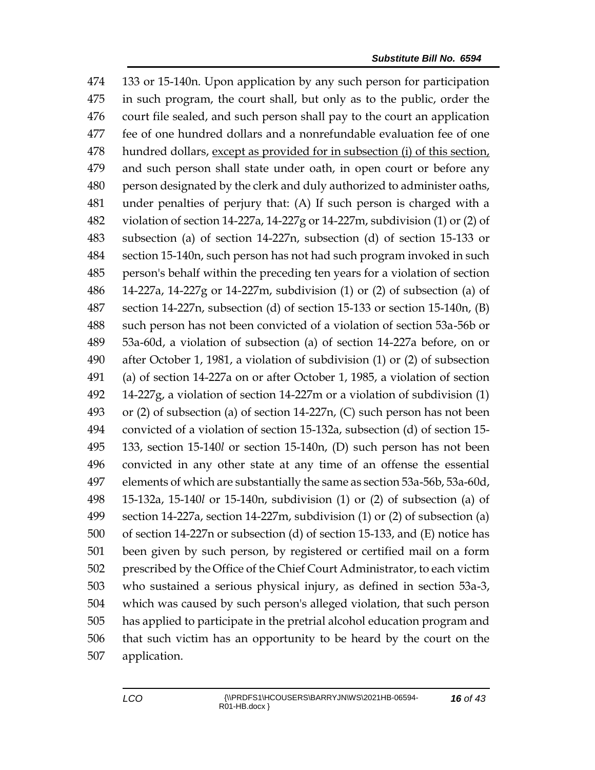133 or 15-140n. Upon application by any such person for participation in such program, the court shall, but only as to the public, order the court file sealed, and such person shall pay to the court an application fee of one hundred dollars and a nonrefundable evaluation fee of one hundred dollars, except as provided for in subsection (i) of this section, and such person shall state under oath, in open court or before any person designated by the clerk and duly authorized to administer oaths, under penalties of perjury that: (A) If such person is charged with a violation of section 14-227a, 14-227g or 14-227m, subdivision (1) or (2) of subsection (a) of section 14-227n, subsection (d) of section 15-133 or section 15-140n, such person has not had such program invoked in such person's behalf within the preceding ten years for a violation of section 14-227a, 14-227g or 14-227m, subdivision (1) or (2) of subsection (a) of section 14-227n, subsection (d) of section 15-133 or section 15-140n, (B) such person has not been convicted of a violation of section 53a-56b or 53a-60d, a violation of subsection (a) of section 14-227a before, on or after October 1, 1981, a violation of subdivision (1) or (2) of subsection (a) of section 14-227a on or after October 1, 1985, a violation of section 14-227g, a violation of section 14-227m or a violation of subdivision (1) or (2) of subsection (a) of section 14-227n, (C) such person has not been convicted of a violation of section 15-132a, subsection (d) of section 15- 133, section 15-140*l* or section 15-140n, (D) such person has not been convicted in any other state at any time of an offense the essential elements of which are substantially the same as section 53a-56b, 53a-60d, 15-132a, 15-140*l* or 15-140n, subdivision (1) or (2) of subsection (a) of section 14-227a, section 14-227m, subdivision (1) or (2) of subsection (a) of section 14-227n or subsection (d) of section 15-133, and (E) notice has been given by such person, by registered or certified mail on a form prescribed by the Office of the Chief Court Administrator, to each victim who sustained a serious physical injury, as defined in section 53a-3, which was caused by such person's alleged violation, that such person has applied to participate in the pretrial alcohol education program and that such victim has an opportunity to be heard by the court on the application.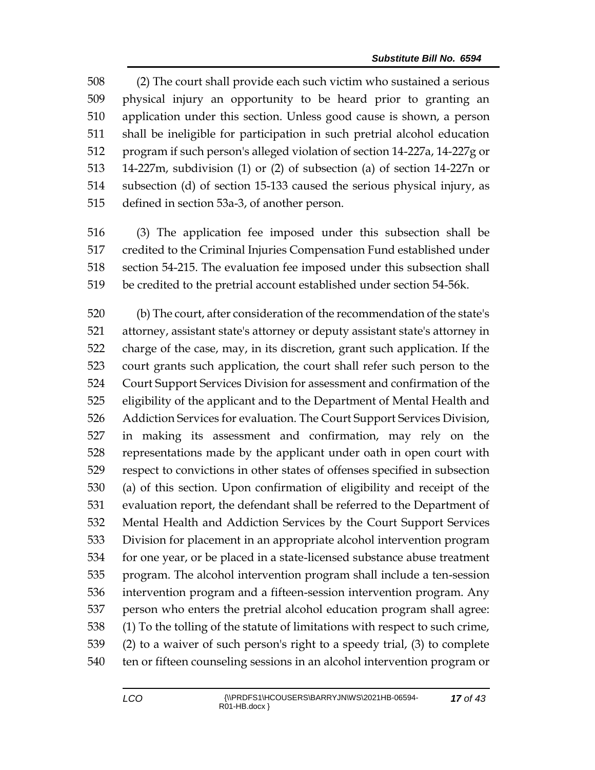(2) The court shall provide each such victim who sustained a serious physical injury an opportunity to be heard prior to granting an application under this section. Unless good cause is shown, a person shall be ineligible for participation in such pretrial alcohol education program if such person's alleged violation of section 14-227a, 14-227g or 14-227m, subdivision (1) or (2) of subsection (a) of section 14-227n or subsection (d) of section 15-133 caused the serious physical injury, as defined in section 53a-3, of another person.

 (3) The application fee imposed under this subsection shall be credited to the Criminal Injuries Compensation Fund established under section 54-215. The evaluation fee imposed under this subsection shall be credited to the pretrial account established under section 54-56k.

 (b) The court, after consideration of the recommendation of the state's attorney, assistant state's attorney or deputy assistant state's attorney in charge of the case, may, in its discretion, grant such application. If the court grants such application, the court shall refer such person to the Court Support Services Division for assessment and confirmation of the eligibility of the applicant and to the Department of Mental Health and Addiction Services for evaluation. The Court Support Services Division, in making its assessment and confirmation, may rely on the representations made by the applicant under oath in open court with respect to convictions in other states of offenses specified in subsection (a) of this section. Upon confirmation of eligibility and receipt of the evaluation report, the defendant shall be referred to the Department of Mental Health and Addiction Services by the Court Support Services Division for placement in an appropriate alcohol intervention program for one year, or be placed in a state-licensed substance abuse treatment program. The alcohol intervention program shall include a ten-session intervention program and a fifteen-session intervention program. Any person who enters the pretrial alcohol education program shall agree: (1) To the tolling of the statute of limitations with respect to such crime, (2) to a waiver of such person's right to a speedy trial, (3) to complete ten or fifteen counseling sessions in an alcohol intervention program or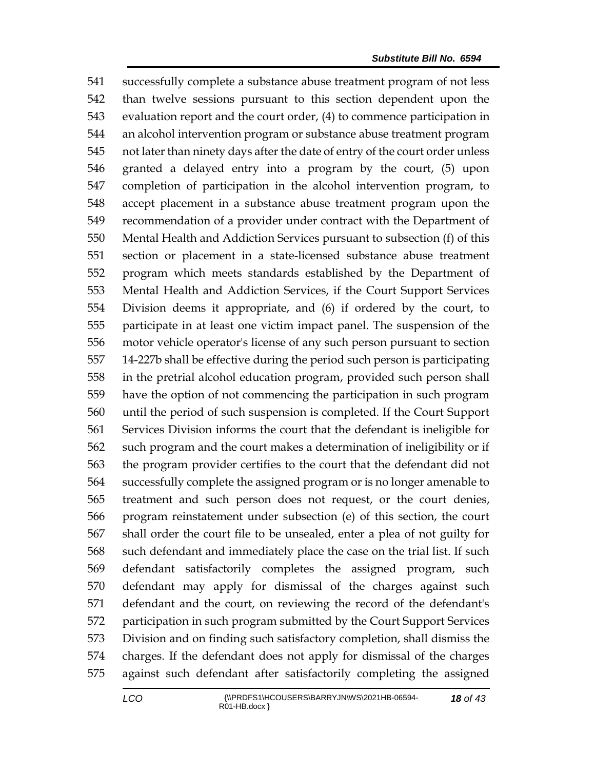successfully complete a substance abuse treatment program of not less than twelve sessions pursuant to this section dependent upon the evaluation report and the court order, (4) to commence participation in an alcohol intervention program or substance abuse treatment program not later than ninety days after the date of entry of the court order unless granted a delayed entry into a program by the court, (5) upon completion of participation in the alcohol intervention program, to accept placement in a substance abuse treatment program upon the recommendation of a provider under contract with the Department of Mental Health and Addiction Services pursuant to subsection (f) of this section or placement in a state-licensed substance abuse treatment program which meets standards established by the Department of Mental Health and Addiction Services, if the Court Support Services Division deems it appropriate, and (6) if ordered by the court, to participate in at least one victim impact panel. The suspension of the motor vehicle operator's license of any such person pursuant to section 14-227b shall be effective during the period such person is participating in the pretrial alcohol education program, provided such person shall have the option of not commencing the participation in such program until the period of such suspension is completed. If the Court Support Services Division informs the court that the defendant is ineligible for such program and the court makes a determination of ineligibility or if the program provider certifies to the court that the defendant did not successfully complete the assigned program or is no longer amenable to treatment and such person does not request, or the court denies, program reinstatement under subsection (e) of this section, the court shall order the court file to be unsealed, enter a plea of not guilty for such defendant and immediately place the case on the trial list. If such defendant satisfactorily completes the assigned program, such defendant may apply for dismissal of the charges against such defendant and the court, on reviewing the record of the defendant's participation in such program submitted by the Court Support Services Division and on finding such satisfactory completion, shall dismiss the charges. If the defendant does not apply for dismissal of the charges against such defendant after satisfactorily completing the assigned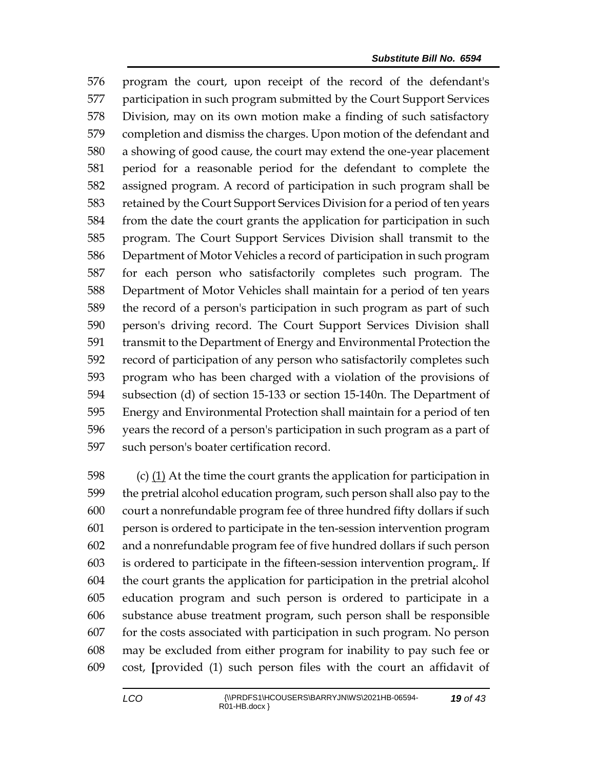program the court, upon receipt of the record of the defendant's participation in such program submitted by the Court Support Services Division, may on its own motion make a finding of such satisfactory completion and dismiss the charges. Upon motion of the defendant and a showing of good cause, the court may extend the one-year placement period for a reasonable period for the defendant to complete the assigned program. A record of participation in such program shall be retained by the Court Support Services Division for a period of ten years from the date the court grants the application for participation in such program. The Court Support Services Division shall transmit to the Department of Motor Vehicles a record of participation in such program for each person who satisfactorily completes such program. The Department of Motor Vehicles shall maintain for a period of ten years the record of a person's participation in such program as part of such person's driving record. The Court Support Services Division shall transmit to the Department of Energy and Environmental Protection the record of participation of any person who satisfactorily completes such program who has been charged with a violation of the provisions of subsection (d) of section 15-133 or section 15-140n. The Department of Energy and Environmental Protection shall maintain for a period of ten years the record of a person's participation in such program as a part of such person's boater certification record.

 (c) (1) At the time the court grants the application for participation in the pretrial alcohol education program, such person shall also pay to the court a nonrefundable program fee of three hundred fifty dollars if such person is ordered to participate in the ten-session intervention program and a nonrefundable program fee of five hundred dollars if such person is ordered to participate in the fifteen-session intervention program,. If the court grants the application for participation in the pretrial alcohol education program and such person is ordered to participate in a substance abuse treatment program, such person shall be responsible for the costs associated with participation in such program. No person may be excluded from either program for inability to pay such fee or cost, **[**provided (1) such person files with the court an affidavit of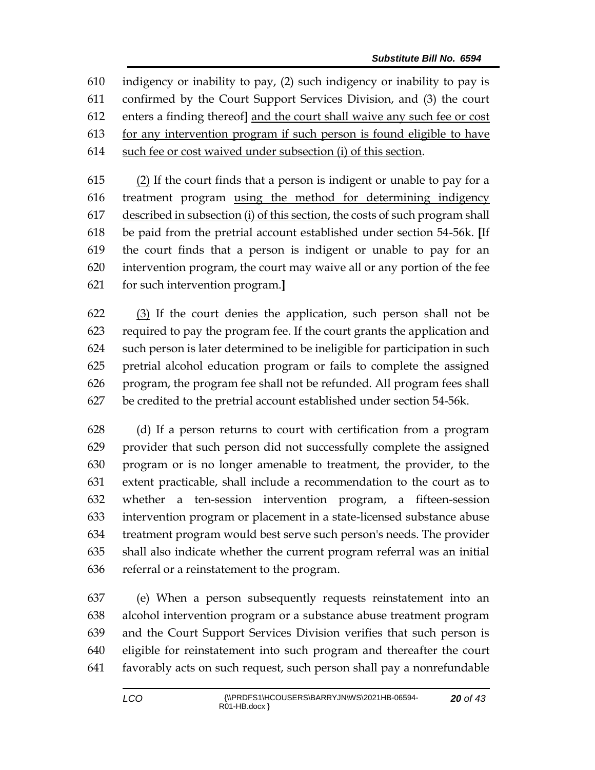indigency or inability to pay, (2) such indigency or inability to pay is confirmed by the Court Support Services Division, and (3) the court enters a finding thereof**]** and the court shall waive any such fee or cost for any intervention program if such person is found eligible to have such fee or cost waived under subsection (i) of this section.

 $(2)$  If the court finds that a person is indigent or unable to pay for a treatment program using the method for determining indigency described in subsection (i) of this section, the costs of such program shall be paid from the pretrial account established under section 54-56k. **[**If the court finds that a person is indigent or unable to pay for an intervention program, the court may waive all or any portion of the fee for such intervention program.**]**

 (3) If the court denies the application, such person shall not be required to pay the program fee. If the court grants the application and such person is later determined to be ineligible for participation in such pretrial alcohol education program or fails to complete the assigned program, the program fee shall not be refunded. All program fees shall be credited to the pretrial account established under section 54-56k.

 (d) If a person returns to court with certification from a program provider that such person did not successfully complete the assigned program or is no longer amenable to treatment, the provider, to the extent practicable, shall include a recommendation to the court as to whether a ten-session intervention program, a fifteen-session intervention program or placement in a state-licensed substance abuse treatment program would best serve such person's needs. The provider shall also indicate whether the current program referral was an initial referral or a reinstatement to the program.

 (e) When a person subsequently requests reinstatement into an alcohol intervention program or a substance abuse treatment program and the Court Support Services Division verifies that such person is eligible for reinstatement into such program and thereafter the court favorably acts on such request, such person shall pay a nonrefundable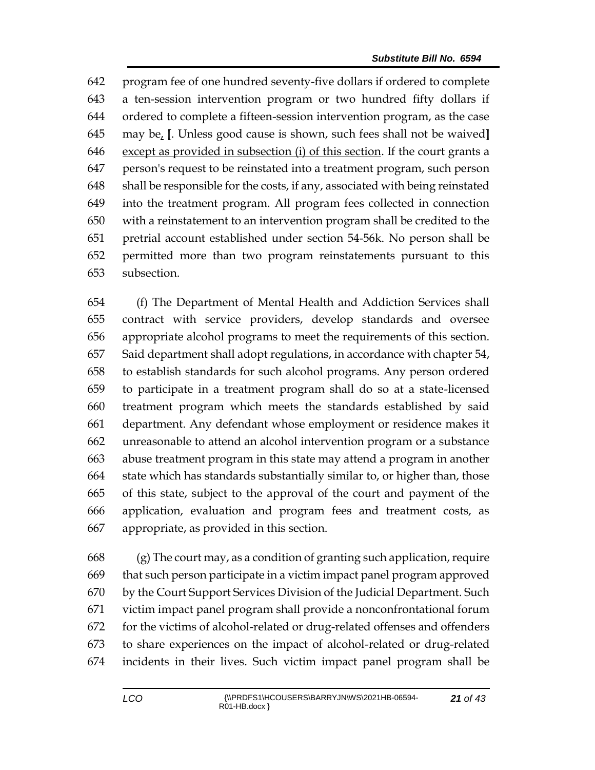program fee of one hundred seventy-five dollars if ordered to complete a ten-session intervention program or two hundred fifty dollars if ordered to complete a fifteen-session intervention program, as the case may be, **[**. Unless good cause is shown, such fees shall not be waived**]** except as provided in subsection (i) of this section. If the court grants a person's request to be reinstated into a treatment program, such person shall be responsible for the costs, if any, associated with being reinstated into the treatment program. All program fees collected in connection with a reinstatement to an intervention program shall be credited to the pretrial account established under section 54-56k. No person shall be permitted more than two program reinstatements pursuant to this subsection.

 (f) The Department of Mental Health and Addiction Services shall contract with service providers, develop standards and oversee appropriate alcohol programs to meet the requirements of this section. Said department shall adopt regulations, in accordance with chapter 54, to establish standards for such alcohol programs. Any person ordered to participate in a treatment program shall do so at a state-licensed treatment program which meets the standards established by said department. Any defendant whose employment or residence makes it unreasonable to attend an alcohol intervention program or a substance abuse treatment program in this state may attend a program in another state which has standards substantially similar to, or higher than, those of this state, subject to the approval of the court and payment of the application, evaluation and program fees and treatment costs, as appropriate, as provided in this section.

 (g) The court may, as a condition of granting such application, require that such person participate in a victim impact panel program approved by the Court Support Services Division of the Judicial Department. Such victim impact panel program shall provide a nonconfrontational forum for the victims of alcohol-related or drug-related offenses and offenders to share experiences on the impact of alcohol-related or drug-related incidents in their lives. Such victim impact panel program shall be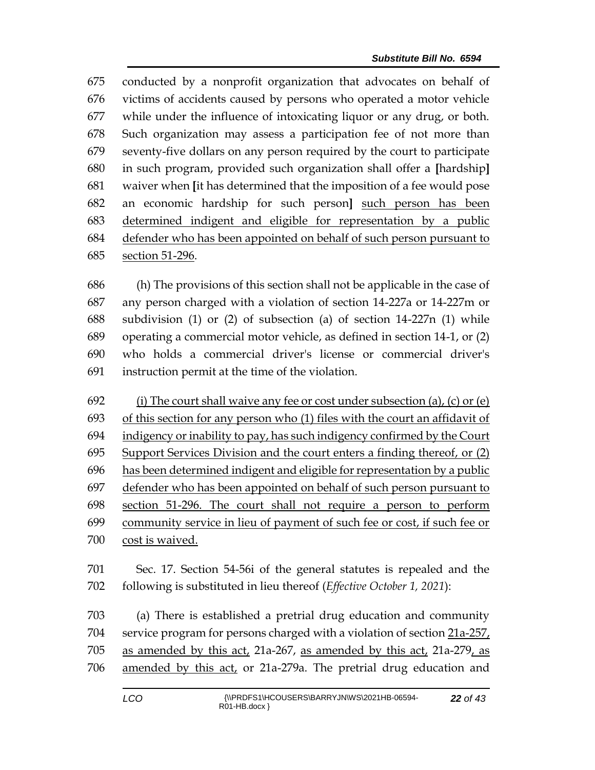conducted by a nonprofit organization that advocates on behalf of victims of accidents caused by persons who operated a motor vehicle while under the influence of intoxicating liquor or any drug, or both. Such organization may assess a participation fee of not more than seventy-five dollars on any person required by the court to participate in such program, provided such organization shall offer a **[**hardship**]** waiver when **[**it has determined that the imposition of a fee would pose an economic hardship for such person**]** such person has been determined indigent and eligible for representation by a public defender who has been appointed on behalf of such person pursuant to section 51-296.

 (h) The provisions of this section shall not be applicable in the case of any person charged with a violation of section 14-227a or 14-227m or subdivision (1) or (2) of subsection (a) of section 14-227n (1) while operating a commercial motor vehicle, as defined in section 14-1, or (2) who holds a commercial driver's license or commercial driver's instruction permit at the time of the violation.

692 (i) The court shall waive any fee or cost under subsection (a), (c) or (e) 693 of this section for any person who (1) files with the court an affidavit of indigency or inability to pay, has such indigency confirmed by the Court Support Services Division and the court enters a finding thereof, or (2) has been determined indigent and eligible for representation by a public defender who has been appointed on behalf of such person pursuant to section 51-296. The court shall not require a person to perform community service in lieu of payment of such fee or cost, if such fee or cost is waived.

 Sec. 17. Section 54-56i of the general statutes is repealed and the following is substituted in lieu thereof (*Effective October 1, 2021*):

 (a) There is established a pretrial drug education and community service program for persons charged with a violation of section 21a-257, as amended by this act, 21a-267, as amended by this act, 21a-279, as amended by this act, or 21a-279a. The pretrial drug education and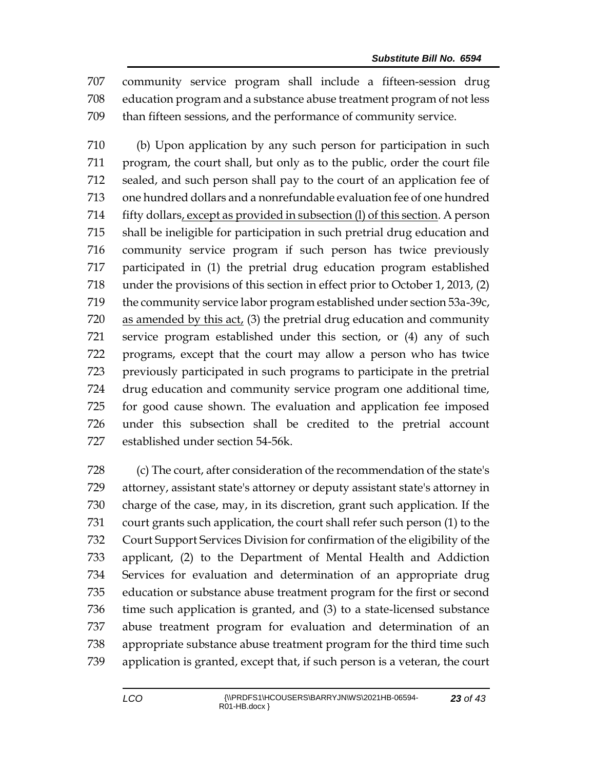community service program shall include a fifteen-session drug education program and a substance abuse treatment program of not less than fifteen sessions, and the performance of community service.

 (b) Upon application by any such person for participation in such program, the court shall, but only as to the public, order the court file sealed, and such person shall pay to the court of an application fee of one hundred dollars and a nonrefundable evaluation fee of one hundred fifty dollars, except as provided in subsection (l) of this section. A person shall be ineligible for participation in such pretrial drug education and community service program if such person has twice previously participated in (1) the pretrial drug education program established under the provisions of this section in effect prior to October 1, 2013, (2) the community service labor program established under section 53a-39c, as amended by this act, (3) the pretrial drug education and community service program established under this section, or (4) any of such programs, except that the court may allow a person who has twice previously participated in such programs to participate in the pretrial drug education and community service program one additional time, for good cause shown. The evaluation and application fee imposed under this subsection shall be credited to the pretrial account established under section 54-56k.

 (c) The court, after consideration of the recommendation of the state's attorney, assistant state's attorney or deputy assistant state's attorney in charge of the case, may, in its discretion, grant such application. If the court grants such application, the court shall refer such person (1) to the Court Support Services Division for confirmation of the eligibility of the applicant, (2) to the Department of Mental Health and Addiction Services for evaluation and determination of an appropriate drug education or substance abuse treatment program for the first or second time such application is granted, and (3) to a state-licensed substance abuse treatment program for evaluation and determination of an appropriate substance abuse treatment program for the third time such application is granted, except that, if such person is a veteran, the court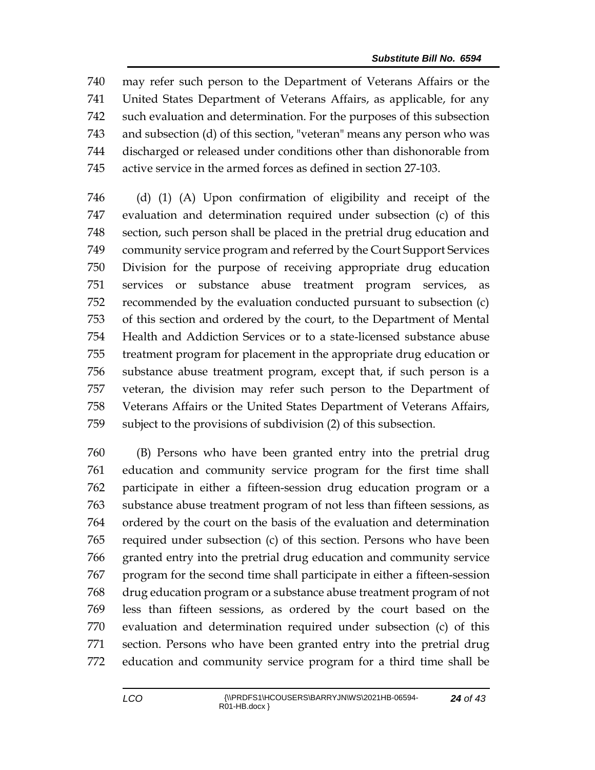may refer such person to the Department of Veterans Affairs or the United States Department of Veterans Affairs, as applicable, for any such evaluation and determination. For the purposes of this subsection and subsection (d) of this section, "veteran" means any person who was discharged or released under conditions other than dishonorable from active service in the armed forces as defined in section 27-103.

 (d) (1) (A) Upon confirmation of eligibility and receipt of the evaluation and determination required under subsection (c) of this section, such person shall be placed in the pretrial drug education and community service program and referred by the Court Support Services Division for the purpose of receiving appropriate drug education services or substance abuse treatment program services, as recommended by the evaluation conducted pursuant to subsection (c) of this section and ordered by the court, to the Department of Mental Health and Addiction Services or to a state-licensed substance abuse treatment program for placement in the appropriate drug education or substance abuse treatment program, except that, if such person is a veteran, the division may refer such person to the Department of Veterans Affairs or the United States Department of Veterans Affairs, subject to the provisions of subdivision (2) of this subsection.

 (B) Persons who have been granted entry into the pretrial drug education and community service program for the first time shall participate in either a fifteen-session drug education program or a substance abuse treatment program of not less than fifteen sessions, as ordered by the court on the basis of the evaluation and determination required under subsection (c) of this section. Persons who have been granted entry into the pretrial drug education and community service program for the second time shall participate in either a fifteen-session drug education program or a substance abuse treatment program of not less than fifteen sessions, as ordered by the court based on the evaluation and determination required under subsection (c) of this section. Persons who have been granted entry into the pretrial drug education and community service program for a third time shall be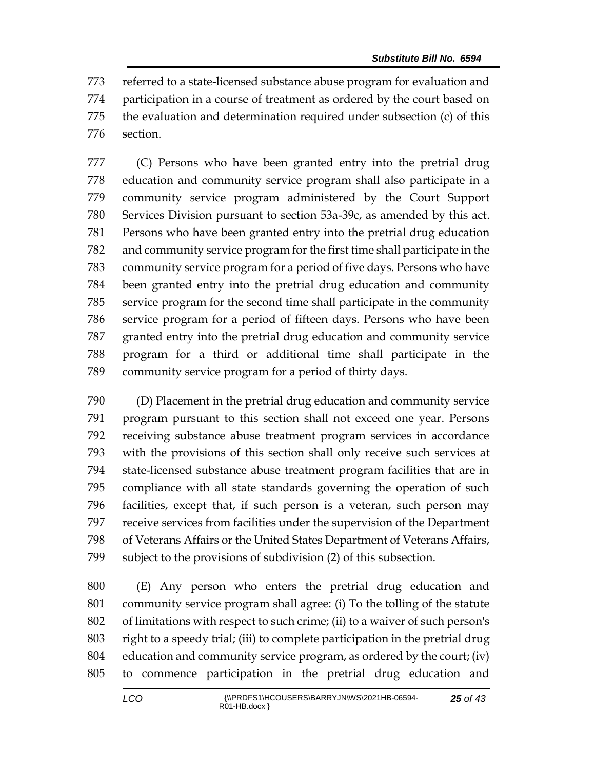referred to a state-licensed substance abuse program for evaluation and participation in a course of treatment as ordered by the court based on the evaluation and determination required under subsection (c) of this section.

 (C) Persons who have been granted entry into the pretrial drug education and community service program shall also participate in a community service program administered by the Court Support Services Division pursuant to section 53a-39c, as amended by this act. Persons who have been granted entry into the pretrial drug education and community service program for the first time shall participate in the community service program for a period of five days. Persons who have been granted entry into the pretrial drug education and community service program for the second time shall participate in the community service program for a period of fifteen days. Persons who have been granted entry into the pretrial drug education and community service program for a third or additional time shall participate in the community service program for a period of thirty days.

 (D) Placement in the pretrial drug education and community service program pursuant to this section shall not exceed one year. Persons receiving substance abuse treatment program services in accordance with the provisions of this section shall only receive such services at state-licensed substance abuse treatment program facilities that are in compliance with all state standards governing the operation of such facilities, except that, if such person is a veteran, such person may receive services from facilities under the supervision of the Department of Veterans Affairs or the United States Department of Veterans Affairs, subject to the provisions of subdivision (2) of this subsection.

 (E) Any person who enters the pretrial drug education and community service program shall agree: (i) To the tolling of the statute of limitations with respect to such crime; (ii) to a waiver of such person's right to a speedy trial; (iii) to complete participation in the pretrial drug education and community service program, as ordered by the court; (iv) to commence participation in the pretrial drug education and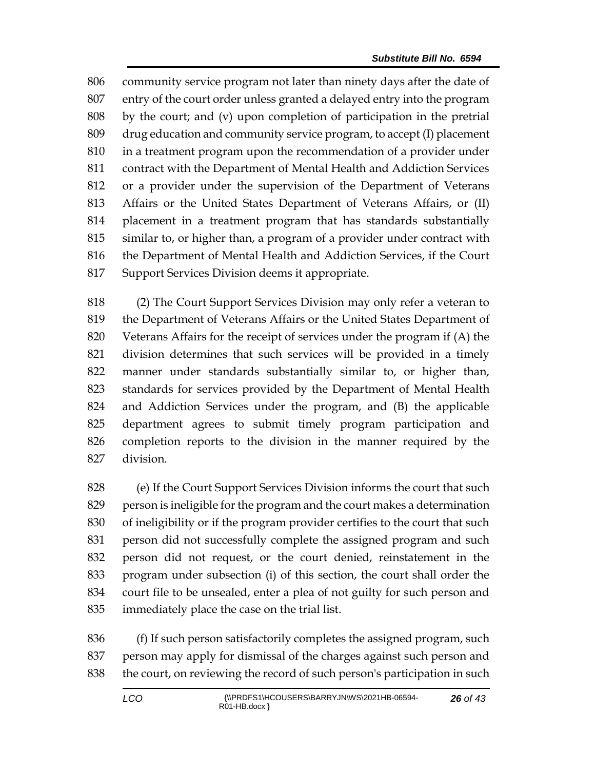community service program not later than ninety days after the date of entry of the court order unless granted a delayed entry into the program by the court; and (v) upon completion of participation in the pretrial drug education and community service program, to accept (I) placement in a treatment program upon the recommendation of a provider under contract with the Department of Mental Health and Addiction Services or a provider under the supervision of the Department of Veterans Affairs or the United States Department of Veterans Affairs, or (II) placement in a treatment program that has standards substantially similar to, or higher than, a program of a provider under contract with the Department of Mental Health and Addiction Services, if the Court Support Services Division deems it appropriate.

 (2) The Court Support Services Division may only refer a veteran to the Department of Veterans Affairs or the United States Department of Veterans Affairs for the receipt of services under the program if (A) the division determines that such services will be provided in a timely manner under standards substantially similar to, or higher than, standards for services provided by the Department of Mental Health and Addiction Services under the program, and (B) the applicable department agrees to submit timely program participation and completion reports to the division in the manner required by the division.

 (e) If the Court Support Services Division informs the court that such person is ineligible for the program and the court makes a determination of ineligibility or if the program provider certifies to the court that such person did not successfully complete the assigned program and such person did not request, or the court denied, reinstatement in the program under subsection (i) of this section, the court shall order the court file to be unsealed, enter a plea of not guilty for such person and immediately place the case on the trial list.

 (f) If such person satisfactorily completes the assigned program, such person may apply for dismissal of the charges against such person and the court, on reviewing the record of such person's participation in such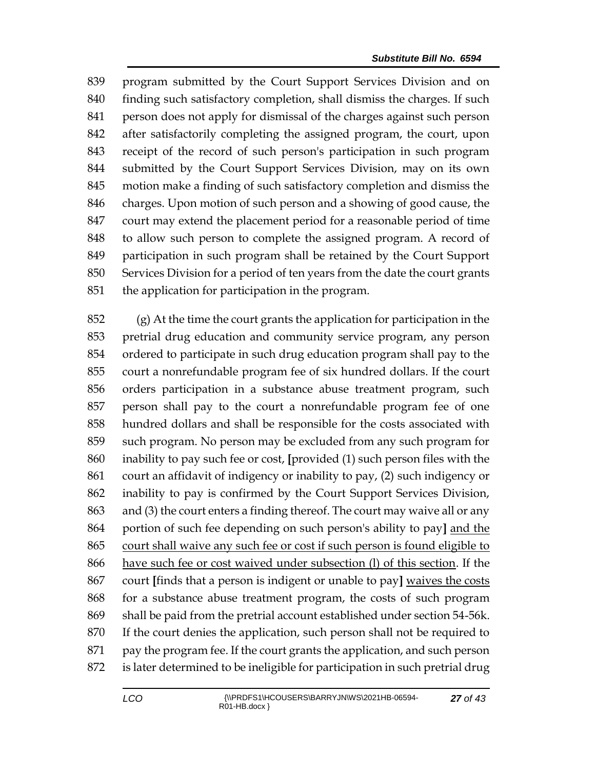program submitted by the Court Support Services Division and on finding such satisfactory completion, shall dismiss the charges. If such person does not apply for dismissal of the charges against such person after satisfactorily completing the assigned program, the court, upon receipt of the record of such person's participation in such program submitted by the Court Support Services Division, may on its own motion make a finding of such satisfactory completion and dismiss the charges. Upon motion of such person and a showing of good cause, the court may extend the placement period for a reasonable period of time to allow such person to complete the assigned program. A record of participation in such program shall be retained by the Court Support Services Division for a period of ten years from the date the court grants the application for participation in the program.

 (g) At the time the court grants the application for participation in the pretrial drug education and community service program, any person ordered to participate in such drug education program shall pay to the court a nonrefundable program fee of six hundred dollars. If the court orders participation in a substance abuse treatment program, such person shall pay to the court a nonrefundable program fee of one hundred dollars and shall be responsible for the costs associated with such program. No person may be excluded from any such program for inability to pay such fee or cost, **[**provided (1) such person files with the court an affidavit of indigency or inability to pay, (2) such indigency or inability to pay is confirmed by the Court Support Services Division, and (3) the court enters a finding thereof. The court may waive all or any portion of such fee depending on such person's ability to pay**]** and the court shall waive any such fee or cost if such person is found eligible to have such fee or cost waived under subsection (l) of this section. If the court **[**finds that a person is indigent or unable to pay**]** waives the costs for a substance abuse treatment program, the costs of such program shall be paid from the pretrial account established under section 54-56k. If the court denies the application, such person shall not be required to pay the program fee. If the court grants the application, and such person is later determined to be ineligible for participation in such pretrial drug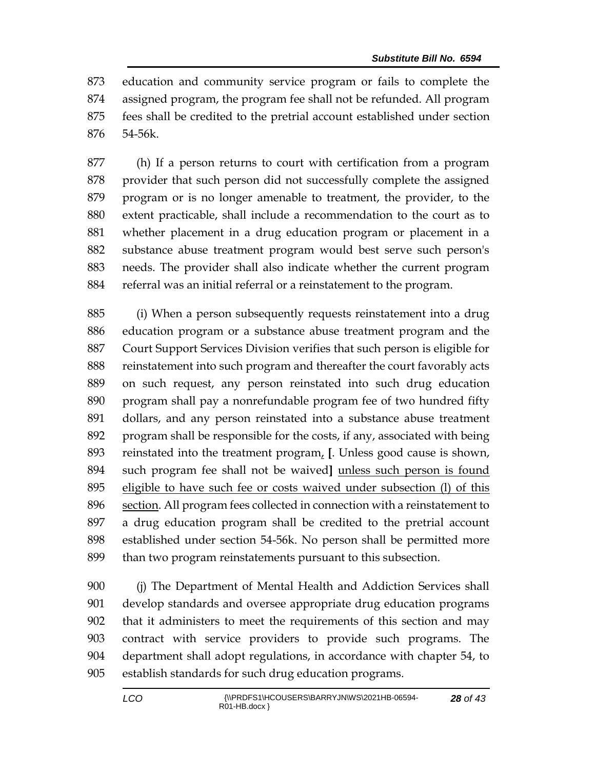education and community service program or fails to complete the assigned program, the program fee shall not be refunded. All program fees shall be credited to the pretrial account established under section 54-56k.

 (h) If a person returns to court with certification from a program provider that such person did not successfully complete the assigned program or is no longer amenable to treatment, the provider, to the extent practicable, shall include a recommendation to the court as to whether placement in a drug education program or placement in a substance abuse treatment program would best serve such person's needs. The provider shall also indicate whether the current program referral was an initial referral or a reinstatement to the program.

 (i) When a person subsequently requests reinstatement into a drug education program or a substance abuse treatment program and the Court Support Services Division verifies that such person is eligible for reinstatement into such program and thereafter the court favorably acts on such request, any person reinstated into such drug education program shall pay a nonrefundable program fee of two hundred fifty dollars, and any person reinstated into a substance abuse treatment program shall be responsible for the costs, if any, associated with being reinstated into the treatment program, **[**. Unless good cause is shown, such program fee shall not be waived**]** unless such person is found eligible to have such fee or costs waived under subsection (l) of this section. All program fees collected in connection with a reinstatement to a drug education program shall be credited to the pretrial account established under section 54-56k. No person shall be permitted more than two program reinstatements pursuant to this subsection.

 (j) The Department of Mental Health and Addiction Services shall develop standards and oversee appropriate drug education programs that it administers to meet the requirements of this section and may contract with service providers to provide such programs. The department shall adopt regulations, in accordance with chapter 54, to establish standards for such drug education programs.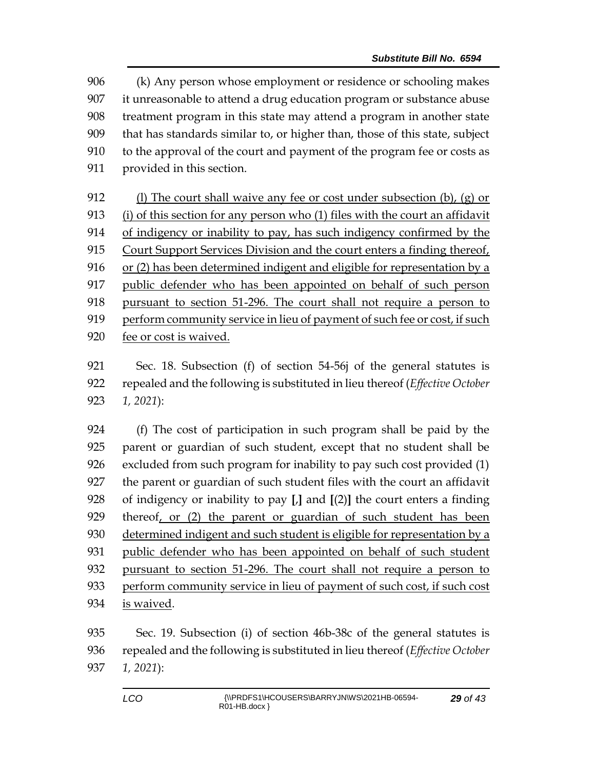(k) Any person whose employment or residence or schooling makes it unreasonable to attend a drug education program or substance abuse treatment program in this state may attend a program in another state that has standards similar to, or higher than, those of this state, subject to the approval of the court and payment of the program fee or costs as provided in this section.

 (l) The court shall waive any fee or cost under subsection (b), (g) or (i) of this section for any person who (1) files with the court an affidavit of indigency or inability to pay, has such indigency confirmed by the Court Support Services Division and the court enters a finding thereof, or (2) has been determined indigent and eligible for representation by a public defender who has been appointed on behalf of such person pursuant to section 51-296. The court shall not require a person to perform community service in lieu of payment of such fee or cost, if such fee or cost is waived.

 Sec. 18. Subsection (f) of section 54-56j of the general statutes is repealed and the following is substituted in lieu thereof (*Effective October 1, 2021*):

 (f) The cost of participation in such program shall be paid by the parent or guardian of such student, except that no student shall be excluded from such program for inability to pay such cost provided (1) the parent or guardian of such student files with the court an affidavit of indigency or inability to pay **[**,**]** and **[**(2)**]** the court enters a finding thereof, or (2) the parent or guardian of such student has been 930 determined indigent and such student is eligible for representation by a public defender who has been appointed on behalf of such student pursuant to section 51-296. The court shall not require a person to perform community service in lieu of payment of such cost, if such cost is waived.

 Sec. 19. Subsection (i) of section 46b-38c of the general statutes is repealed and the following is substituted in lieu thereof (*Effective October 1, 2021*):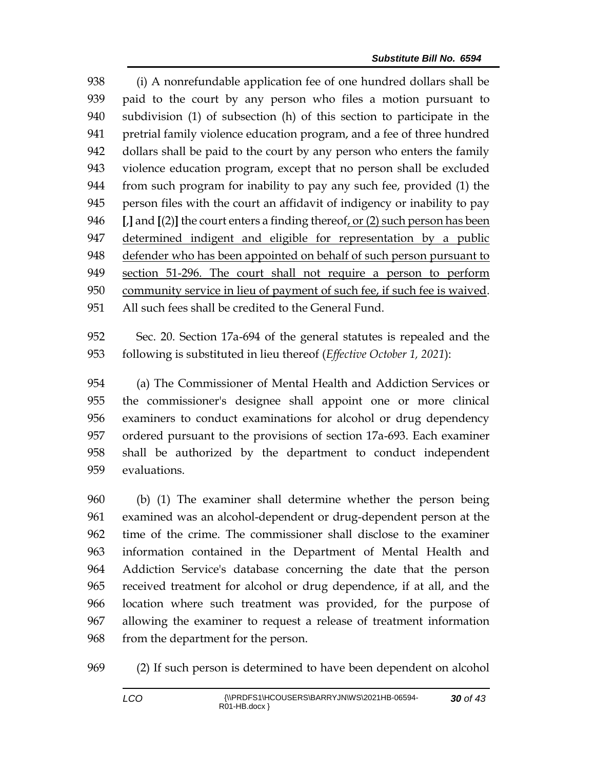(i) A nonrefundable application fee of one hundred dollars shall be paid to the court by any person who files a motion pursuant to subdivision (1) of subsection (h) of this section to participate in the pretrial family violence education program, and a fee of three hundred dollars shall be paid to the court by any person who enters the family violence education program, except that no person shall be excluded from such program for inability to pay any such fee, provided (1) the person files with the court an affidavit of indigency or inability to pay **[**,**]** and **[**(2)**]** the court enters a finding thereof, or (2) such person has been determined indigent and eligible for representation by a public defender who has been appointed on behalf of such person pursuant to section 51-296. The court shall not require a person to perform community service in lieu of payment of such fee, if such fee is waived. All such fees shall be credited to the General Fund.

 Sec. 20. Section 17a-694 of the general statutes is repealed and the following is substituted in lieu thereof (*Effective October 1, 2021*):

 (a) The Commissioner of Mental Health and Addiction Services or the commissioner's designee shall appoint one or more clinical examiners to conduct examinations for alcohol or drug dependency ordered pursuant to the provisions of section 17a-693. Each examiner shall be authorized by the department to conduct independent evaluations.

 (b) (1) The examiner shall determine whether the person being examined was an alcohol-dependent or drug-dependent person at the time of the crime. The commissioner shall disclose to the examiner information contained in the Department of Mental Health and Addiction Service's database concerning the date that the person received treatment for alcohol or drug dependence, if at all, and the location where such treatment was provided, for the purpose of allowing the examiner to request a release of treatment information from the department for the person.

(2) If such person is determined to have been dependent on alcohol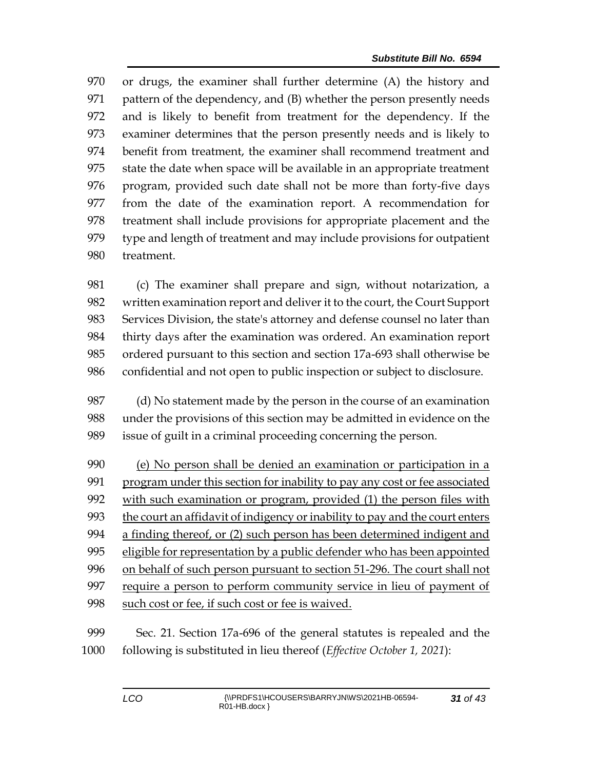or drugs, the examiner shall further determine (A) the history and pattern of the dependency, and (B) whether the person presently needs and is likely to benefit from treatment for the dependency. If the examiner determines that the person presently needs and is likely to benefit from treatment, the examiner shall recommend treatment and state the date when space will be available in an appropriate treatment program, provided such date shall not be more than forty-five days from the date of the examination report. A recommendation for treatment shall include provisions for appropriate placement and the type and length of treatment and may include provisions for outpatient treatment.

 (c) The examiner shall prepare and sign, without notarization, a written examination report and deliver it to the court, the Court Support Services Division, the state's attorney and defense counsel no later than thirty days after the examination was ordered. An examination report ordered pursuant to this section and section 17a-693 shall otherwise be confidential and not open to public inspection or subject to disclosure.

 (d) No statement made by the person in the course of an examination under the provisions of this section may be admitted in evidence on the issue of guilt in a criminal proceeding concerning the person.

 (e) No person shall be denied an examination or participation in a 991 program under this section for inability to pay any cost or fee associated with such examination or program, provided (1) the person files with the court an affidavit of indigency or inability to pay and the court enters a finding thereof, or (2) such person has been determined indigent and eligible for representation by a public defender who has been appointed on behalf of such person pursuant to section 51-296. The court shall not require a person to perform community service in lieu of payment of 998 such cost or fee, if such cost or fee is waived.

 Sec. 21. Section 17a-696 of the general statutes is repealed and the following is substituted in lieu thereof (*Effective October 1, 2021*):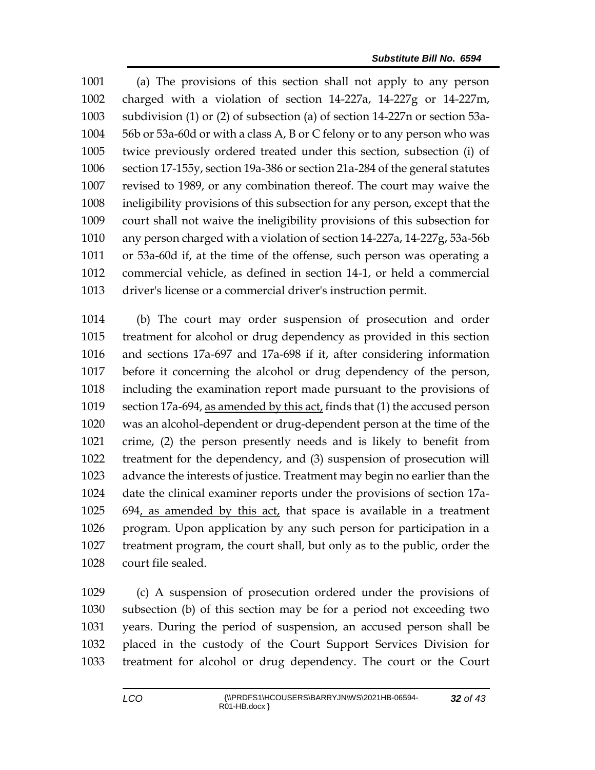(a) The provisions of this section shall not apply to any person charged with a violation of section 14-227a, 14-227g or 14-227m, subdivision (1) or (2) of subsection (a) of section 14-227n or section 53a- 56b or 53a-60d or with a class A, B or C felony or to any person who was twice previously ordered treated under this section, subsection (i) of section 17-155y, section 19a-386 or section 21a-284 of the general statutes revised to 1989, or any combination thereof. The court may waive the ineligibility provisions of this subsection for any person, except that the court shall not waive the ineligibility provisions of this subsection for any person charged with a violation of section 14-227a, 14-227g, 53a-56b or 53a-60d if, at the time of the offense, such person was operating a commercial vehicle, as defined in section 14-1, or held a commercial driver's license or a commercial driver's instruction permit.

 (b) The court may order suspension of prosecution and order treatment for alcohol or drug dependency as provided in this section and sections 17a-697 and 17a-698 if it, after considering information before it concerning the alcohol or drug dependency of the person, including the examination report made pursuant to the provisions of section 17a-694, as amended by this act, finds that (1) the accused person was an alcohol-dependent or drug-dependent person at the time of the crime, (2) the person presently needs and is likely to benefit from treatment for the dependency, and (3) suspension of prosecution will advance the interests of justice. Treatment may begin no earlier than the date the clinical examiner reports under the provisions of section 17a- 694, as amended by this act, that space is available in a treatment program. Upon application by any such person for participation in a treatment program, the court shall, but only as to the public, order the court file sealed.

 (c) A suspension of prosecution ordered under the provisions of subsection (b) of this section may be for a period not exceeding two years. During the period of suspension, an accused person shall be placed in the custody of the Court Support Services Division for treatment for alcohol or drug dependency. The court or the Court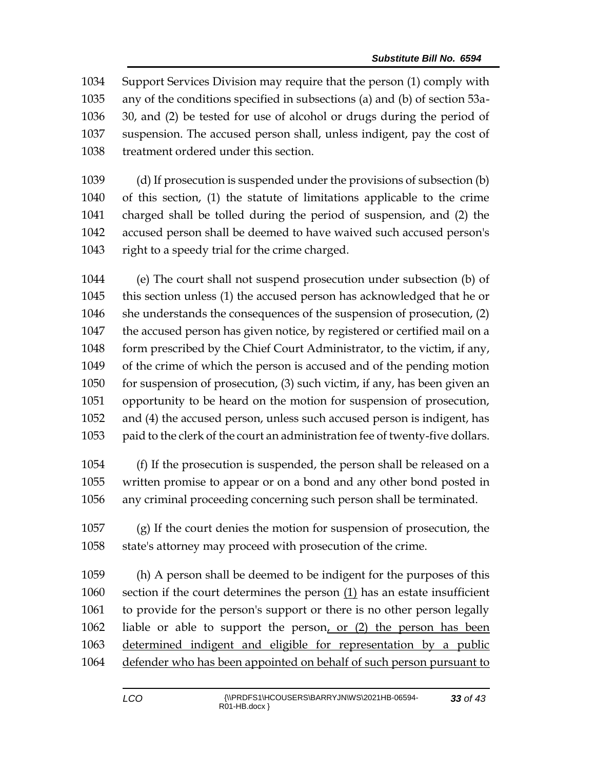Support Services Division may require that the person (1) comply with any of the conditions specified in subsections (a) and (b) of section 53a- 30, and (2) be tested for use of alcohol or drugs during the period of suspension. The accused person shall, unless indigent, pay the cost of treatment ordered under this section.

 (d) If prosecution is suspended under the provisions of subsection (b) of this section, (1) the statute of limitations applicable to the crime charged shall be tolled during the period of suspension, and (2) the accused person shall be deemed to have waived such accused person's 1043 right to a speedy trial for the crime charged.

 (e) The court shall not suspend prosecution under subsection (b) of this section unless (1) the accused person has acknowledged that he or she understands the consequences of the suspension of prosecution, (2) the accused person has given notice, by registered or certified mail on a form prescribed by the Chief Court Administrator, to the victim, if any, of the crime of which the person is accused and of the pending motion for suspension of prosecution, (3) such victim, if any, has been given an opportunity to be heard on the motion for suspension of prosecution, and (4) the accused person, unless such accused person is indigent, has paid to the clerk of the court an administration fee of twenty-five dollars.

 (f) If the prosecution is suspended, the person shall be released on a written promise to appear or on a bond and any other bond posted in any criminal proceeding concerning such person shall be terminated.

 (g) If the court denies the motion for suspension of prosecution, the state's attorney may proceed with prosecution of the crime.

 (h) A person shall be deemed to be indigent for the purposes of this section if the court determines the person (1) has an estate insufficient to provide for the person's support or there is no other person legally liable or able to support the person, or (2) the person has been determined indigent and eligible for representation by a public defender who has been appointed on behalf of such person pursuant to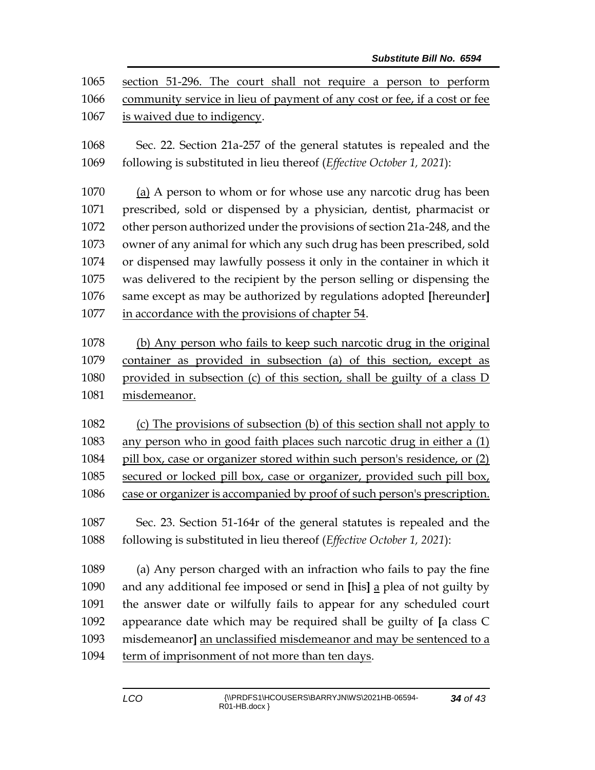| 1065<br>1066<br>1067 | section 51-296. The court shall not require a person to perform<br>community service in lieu of payment of any cost or fee, if a cost or fee<br>is waived due to indigency. |
|----------------------|-----------------------------------------------------------------------------------------------------------------------------------------------------------------------------|
| 1068<br>1069         | Sec. 22. Section 21a-257 of the general statutes is repealed and the<br>following is substituted in lieu thereof (Effective October 1, 2021):                               |
| 1070                 | (a) A person to whom or for whose use any narcotic drug has been                                                                                                            |
| 1071                 | prescribed, sold or dispensed by a physician, dentist, pharmacist or                                                                                                        |
| 1072                 | other person authorized under the provisions of section 21a-248, and the                                                                                                    |
| 1073                 | owner of any animal for which any such drug has been prescribed, sold                                                                                                       |
| 1074                 | or dispensed may lawfully possess it only in the container in which it                                                                                                      |
| 1075                 | was delivered to the recipient by the person selling or dispensing the                                                                                                      |
| 1076                 | same except as may be authorized by regulations adopted [hereunder]                                                                                                         |
| 1077                 | in accordance with the provisions of chapter 54.                                                                                                                            |
|                      |                                                                                                                                                                             |
| 1078                 | (b) Any person who fails to keep such narcotic drug in the original                                                                                                         |
| 1079                 | container as provided in subsection (a) of this section, except as                                                                                                          |
| 1080                 | provided in subsection (c) of this section, shall be guilty of a class D                                                                                                    |
| 1081                 | misdemeanor.                                                                                                                                                                |
| 1082                 | (c) The provisions of subsection (b) of this section shall not apply to                                                                                                     |
| 1083                 | any person who in good faith places such narcotic drug in either a (1)                                                                                                      |
| 1084                 | pill box, case or organizer stored within such person's residence, or (2)                                                                                                   |
| 1085                 | secured or locked pill box, case or organizer, provided such pill box,                                                                                                      |
| 1086                 | case or organizer is accompanied by proof of such person's prescription.                                                                                                    |
|                      |                                                                                                                                                                             |
| 1087                 | Sec. 23. Section 51-164r of the general statutes is repealed and the                                                                                                        |
| 1088                 | following is substituted in lieu thereof (Effective October 1, 2021):                                                                                                       |
| 1089                 | (a) Any person charged with an infraction who fails to pay the fine                                                                                                         |
| 1090                 | and any additional fee imposed or send in [his] a plea of not guilty by                                                                                                     |
| 1091                 | the answer date or wilfully fails to appear for any scheduled court                                                                                                         |
| 1092                 | appearance date which may be required shall be guilty of [a class C                                                                                                         |
| 1093                 | misdemeanor] an unclassified misdemeanor and may be sentenced to a                                                                                                          |
| 1094                 | term of imprisonment of not more than ten days.                                                                                                                             |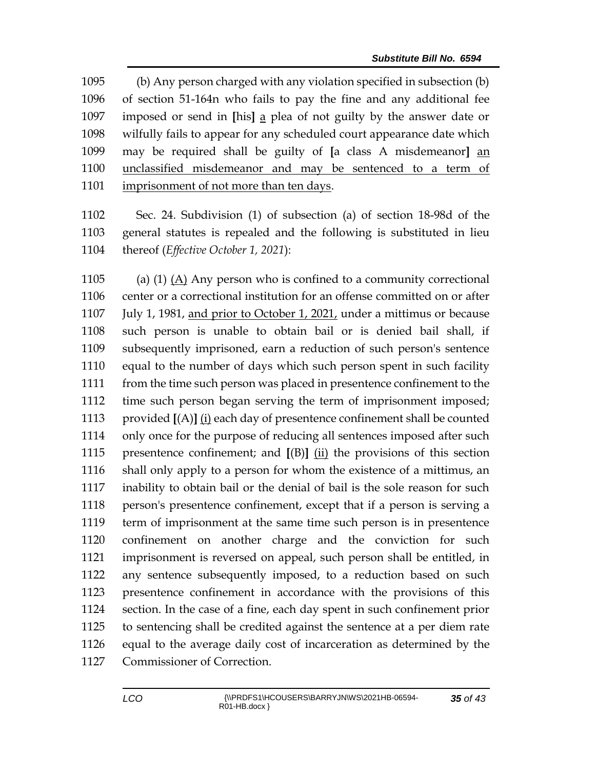(b) Any person charged with any violation specified in subsection (b) of section 51-164n who fails to pay the fine and any additional fee imposed or send in **[**his**]** a plea of not guilty by the answer date or wilfully fails to appear for any scheduled court appearance date which may be required shall be guilty of **[**a class A misdemeanor**]** an unclassified misdemeanor and may be sentenced to a term of imprisonment of not more than ten days.

 Sec. 24. Subdivision (1) of subsection (a) of section 18-98d of the general statutes is repealed and the following is substituted in lieu thereof (*Effective October 1, 2021*):

 (a) (1) (A) Any person who is confined to a community correctional center or a correctional institution for an offense committed on or after 1107 July 1, 1981, and prior to October 1, 2021, under a mittimus or because such person is unable to obtain bail or is denied bail shall, if subsequently imprisoned, earn a reduction of such person's sentence equal to the number of days which such person spent in such facility from the time such person was placed in presentence confinement to the time such person began serving the term of imprisonment imposed; provided **[**(A)**]** (i) each day of presentence confinement shall be counted only once for the purpose of reducing all sentences imposed after such presentence confinement; and **[**(B)**]** (ii) the provisions of this section shall only apply to a person for whom the existence of a mittimus, an inability to obtain bail or the denial of bail is the sole reason for such person's presentence confinement, except that if a person is serving a term of imprisonment at the same time such person is in presentence confinement on another charge and the conviction for such imprisonment is reversed on appeal, such person shall be entitled, in any sentence subsequently imposed, to a reduction based on such presentence confinement in accordance with the provisions of this section. In the case of a fine, each day spent in such confinement prior to sentencing shall be credited against the sentence at a per diem rate equal to the average daily cost of incarceration as determined by the Commissioner of Correction.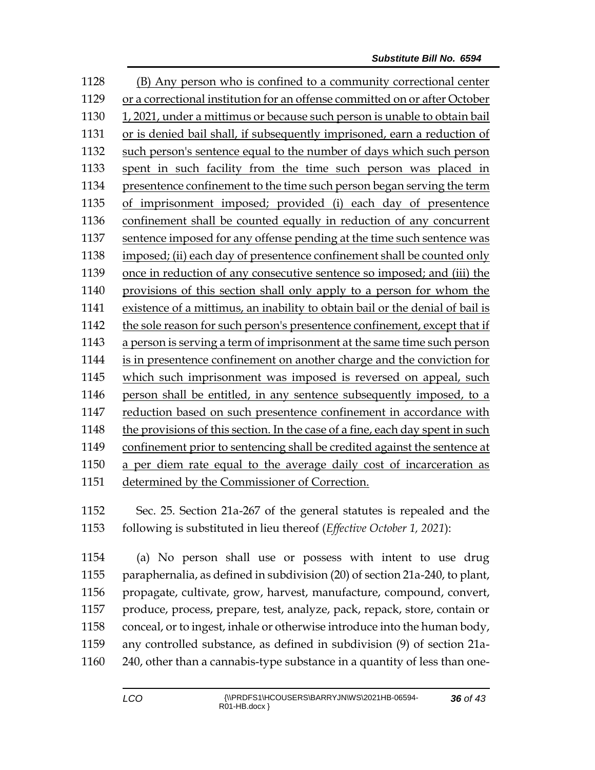(B) Any person who is confined to a community correctional center or a correctional institution for an offense committed on or after October 1, 2021, under a mittimus or because such person is unable to obtain bail or is denied bail shall, if subsequently imprisoned, earn a reduction of such person's sentence equal to the number of days which such person spent in such facility from the time such person was placed in presentence confinement to the time such person began serving the term of imprisonment imposed; provided (i) each day of presentence confinement shall be counted equally in reduction of any concurrent sentence imposed for any offense pending at the time such sentence was imposed; (ii) each day of presentence confinement shall be counted only once in reduction of any consecutive sentence so imposed; and (iii) the provisions of this section shall only apply to a person for whom the existence of a mittimus, an inability to obtain bail or the denial of bail is the sole reason for such person's presentence confinement, except that if a person is serving a term of imprisonment at the same time such person is in presentence confinement on another charge and the conviction for which such imprisonment was imposed is reversed on appeal, such person shall be entitled, in any sentence subsequently imposed, to a reduction based on such presentence confinement in accordance with the provisions of this section. In the case of a fine, each day spent in such confinement prior to sentencing shall be credited against the sentence at a per diem rate equal to the average daily cost of incarceration as determined by the Commissioner of Correction.

 Sec. 25. Section 21a-267 of the general statutes is repealed and the following is substituted in lieu thereof (*Effective October 1, 2021*):

 (a) No person shall use or possess with intent to use drug paraphernalia, as defined in subdivision (20) of section 21a-240, to plant, propagate, cultivate, grow, harvest, manufacture, compound, convert, produce, process, prepare, test, analyze, pack, repack, store, contain or conceal, or to ingest, inhale or otherwise introduce into the human body, any controlled substance, as defined in subdivision (9) of section 21a-240, other than a cannabis-type substance in a quantity of less than one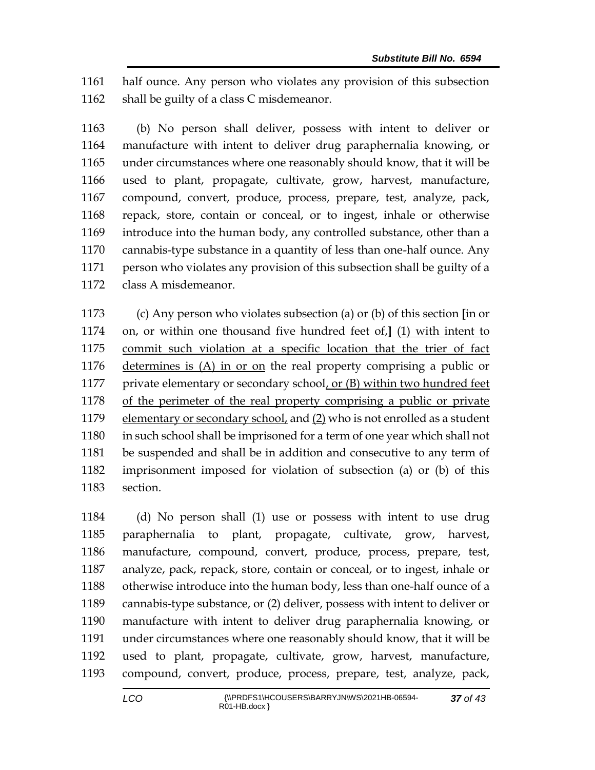half ounce. Any person who violates any provision of this subsection 1162 shall be guilty of a class C misdemeanor.

 (b) No person shall deliver, possess with intent to deliver or manufacture with intent to deliver drug paraphernalia knowing, or under circumstances where one reasonably should know, that it will be used to plant, propagate, cultivate, grow, harvest, manufacture, compound, convert, produce, process, prepare, test, analyze, pack, repack, store, contain or conceal, or to ingest, inhale or otherwise introduce into the human body, any controlled substance, other than a cannabis-type substance in a quantity of less than one-half ounce. Any person who violates any provision of this subsection shall be guilty of a class A misdemeanor.

 (c) Any person who violates subsection (a) or (b) of this section **[**in or on, or within one thousand five hundred feet of,**]** (1) with intent to commit such violation at a specific location that the trier of fact determines is (A) in or on the real property comprising a public or private elementary or secondary school, or (B) within two hundred feet of the perimeter of the real property comprising a public or private 1179 elementary or secondary school, and (2) who is not enrolled as a student in such school shall be imprisoned for a term of one year which shall not be suspended and shall be in addition and consecutive to any term of imprisonment imposed for violation of subsection (a) or (b) of this section.

 (d) No person shall (1) use or possess with intent to use drug paraphernalia to plant, propagate, cultivate, grow, harvest, manufacture, compound, convert, produce, process, prepare, test, analyze, pack, repack, store, contain or conceal, or to ingest, inhale or otherwise introduce into the human body, less than one-half ounce of a cannabis-type substance, or (2) deliver, possess with intent to deliver or manufacture with intent to deliver drug paraphernalia knowing, or under circumstances where one reasonably should know, that it will be used to plant, propagate, cultivate, grow, harvest, manufacture, compound, convert, produce, process, prepare, test, analyze, pack,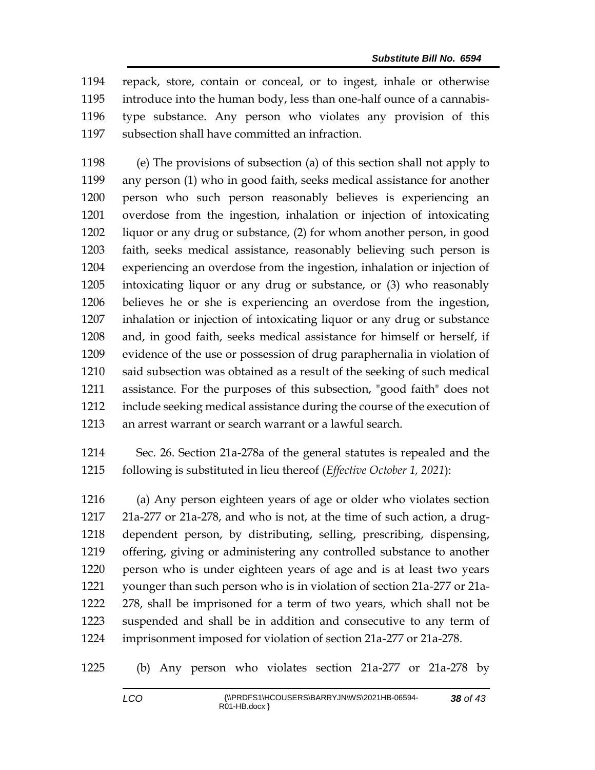repack, store, contain or conceal, or to ingest, inhale or otherwise introduce into the human body, less than one-half ounce of a cannabis- type substance. Any person who violates any provision of this subsection shall have committed an infraction.

 (e) The provisions of subsection (a) of this section shall not apply to any person (1) who in good faith, seeks medical assistance for another person who such person reasonably believes is experiencing an overdose from the ingestion, inhalation or injection of intoxicating liquor or any drug or substance, (2) for whom another person, in good faith, seeks medical assistance, reasonably believing such person is experiencing an overdose from the ingestion, inhalation or injection of intoxicating liquor or any drug or substance, or (3) who reasonably believes he or she is experiencing an overdose from the ingestion, inhalation or injection of intoxicating liquor or any drug or substance and, in good faith, seeks medical assistance for himself or herself, if evidence of the use or possession of drug paraphernalia in violation of said subsection was obtained as a result of the seeking of such medical assistance. For the purposes of this subsection, "good faith" does not include seeking medical assistance during the course of the execution of an arrest warrant or search warrant or a lawful search.

 Sec. 26. Section 21a-278a of the general statutes is repealed and the following is substituted in lieu thereof (*Effective October 1, 2021*):

 (a) Any person eighteen years of age or older who violates section 21a-277 or 21a-278, and who is not, at the time of such action, a drug- dependent person, by distributing, selling, prescribing, dispensing, offering, giving or administering any controlled substance to another person who is under eighteen years of age and is at least two years younger than such person who is in violation of section 21a-277 or 21a- 278, shall be imprisoned for a term of two years, which shall not be suspended and shall be in addition and consecutive to any term of imprisonment imposed for violation of section 21a-277 or 21a-278.

(b) Any person who violates section 21a-277 or 21a-278 by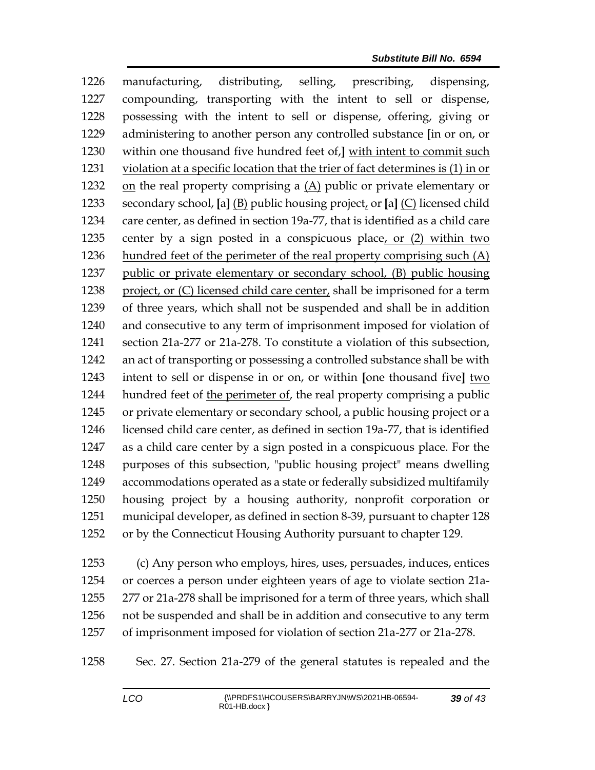manufacturing, distributing, selling, prescribing, dispensing, compounding, transporting with the intent to sell or dispense, possessing with the intent to sell or dispense, offering, giving or administering to another person any controlled substance **[**in or on, or within one thousand five hundred feet of,**]** with intent to commit such violation at a specific location that the trier of fact determines is (1) in or 1232 on the real property comprising a  $(A)$  public or private elementary or secondary school, **[**a**]** (B) public housing project, or **[**a**]** (C) licensed child care center, as defined in section 19a-77, that is identified as a child care center by a sign posted in a conspicuous place, or (2) within two hundred feet of the perimeter of the real property comprising such (A) public or private elementary or secondary school, (B) public housing 1238 project, or (C) licensed child care center, shall be imprisoned for a term of three years, which shall not be suspended and shall be in addition and consecutive to any term of imprisonment imposed for violation of section 21a-277 or 21a-278. To constitute a violation of this subsection, an act of transporting or possessing a controlled substance shall be with intent to sell or dispense in or on, or within **[**one thousand five**]** two hundred feet of the perimeter of, the real property comprising a public or private elementary or secondary school, a public housing project or a licensed child care center, as defined in section 19a-77, that is identified as a child care center by a sign posted in a conspicuous place. For the purposes of this subsection, "public housing project" means dwelling accommodations operated as a state or federally subsidized multifamily housing project by a housing authority, nonprofit corporation or municipal developer, as defined in section 8-39, pursuant to chapter 128 or by the Connecticut Housing Authority pursuant to chapter 129.

 (c) Any person who employs, hires, uses, persuades, induces, entices or coerces a person under eighteen years of age to violate section 21a- 277 or 21a-278 shall be imprisoned for a term of three years, which shall not be suspended and shall be in addition and consecutive to any term of imprisonment imposed for violation of section 21a-277 or 21a-278.

Sec. 27. Section 21a-279 of the general statutes is repealed and the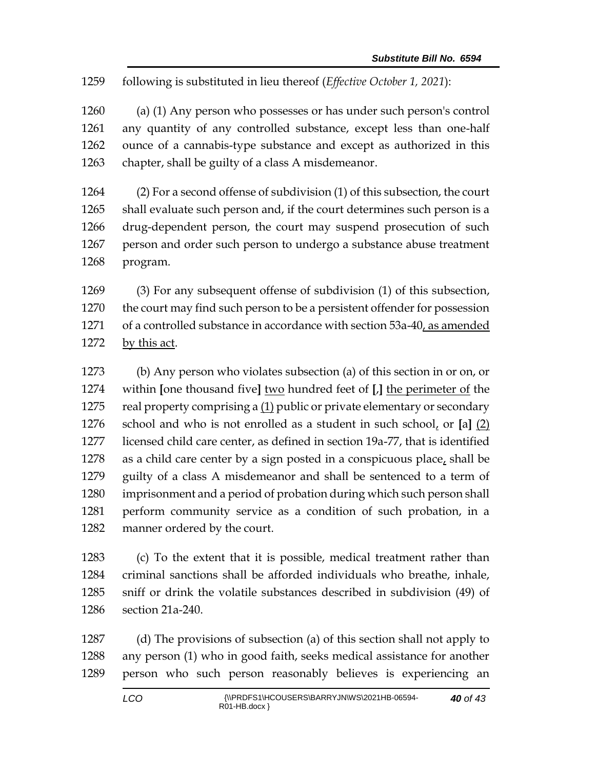following is substituted in lieu thereof (*Effective October 1, 2021*):

 (a) (1) Any person who possesses or has under such person's control any quantity of any controlled substance, except less than one-half ounce of a cannabis-type substance and except as authorized in this chapter, shall be guilty of a class A misdemeanor.

 (2) For a second offense of subdivision (1) of this subsection, the court shall evaluate such person and, if the court determines such person is a drug-dependent person, the court may suspend prosecution of such person and order such person to undergo a substance abuse treatment program.

 (3) For any subsequent offense of subdivision (1) of this subsection, the court may find such person to be a persistent offender for possession 1271 of a controlled substance in accordance with section 53a-40, as amended by this act.

 (b) Any person who violates subsection (a) of this section in or on, or within **[**one thousand five**]** two hundred feet of **[**,**]** the perimeter of the real property comprising a (1) public or private elementary or secondary school and who is not enrolled as a student in such school, or **[**a**]** (2) licensed child care center, as defined in section 19a-77, that is identified 1278 as a child care center by a sign posted in a conspicuous place, shall be guilty of a class A misdemeanor and shall be sentenced to a term of imprisonment and a period of probation during which such person shall perform community service as a condition of such probation, in a manner ordered by the court.

 (c) To the extent that it is possible, medical treatment rather than criminal sanctions shall be afforded individuals who breathe, inhale, sniff or drink the volatile substances described in subdivision (49) of section 21a-240.

 (d) The provisions of subsection (a) of this section shall not apply to any person (1) who in good faith, seeks medical assistance for another person who such person reasonably believes is experiencing an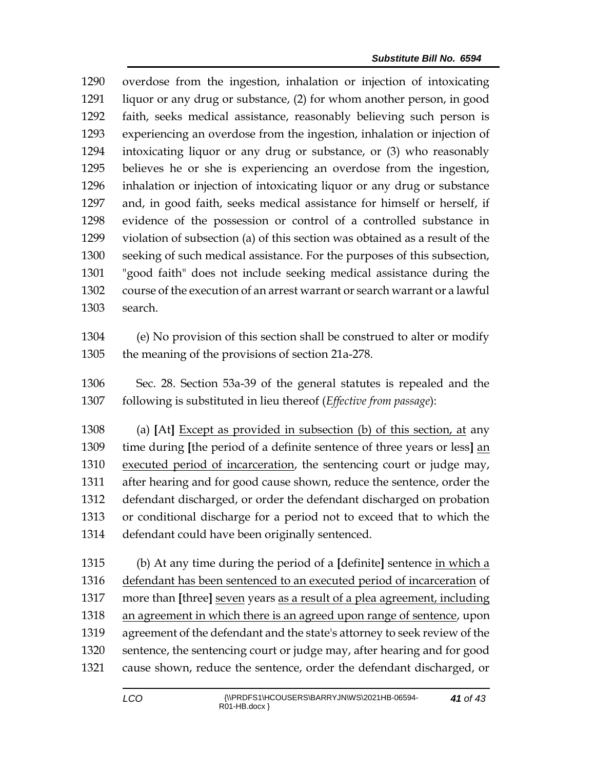overdose from the ingestion, inhalation or injection of intoxicating liquor or any drug or substance, (2) for whom another person, in good faith, seeks medical assistance, reasonably believing such person is experiencing an overdose from the ingestion, inhalation or injection of intoxicating liquor or any drug or substance, or (3) who reasonably believes he or she is experiencing an overdose from the ingestion, inhalation or injection of intoxicating liquor or any drug or substance and, in good faith, seeks medical assistance for himself or herself, if evidence of the possession or control of a controlled substance in violation of subsection (a) of this section was obtained as a result of the seeking of such medical assistance. For the purposes of this subsection, "good faith" does not include seeking medical assistance during the course of the execution of an arrest warrant or search warrant or a lawful search.

- (e) No provision of this section shall be construed to alter or modify the meaning of the provisions of section 21a-278.
- Sec. 28. Section 53a-39 of the general statutes is repealed and the following is substituted in lieu thereof (*Effective from passage*):

 (a) **[**At**]** Except as provided in subsection (b) of this section, at any time during **[**the period of a definite sentence of three years or less**]** an executed period of incarceration, the sentencing court or judge may, after hearing and for good cause shown, reduce the sentence, order the defendant discharged, or order the defendant discharged on probation or conditional discharge for a period not to exceed that to which the defendant could have been originally sentenced.

 (b) At any time during the period of a **[**definite**]** sentence in which a defendant has been sentenced to an executed period of incarceration of more than **[**three**]** seven years as a result of a plea agreement, including an agreement in which there is an agreed upon range of sentence, upon agreement of the defendant and the state's attorney to seek review of the sentence, the sentencing court or judge may, after hearing and for good cause shown, reduce the sentence, order the defendant discharged, or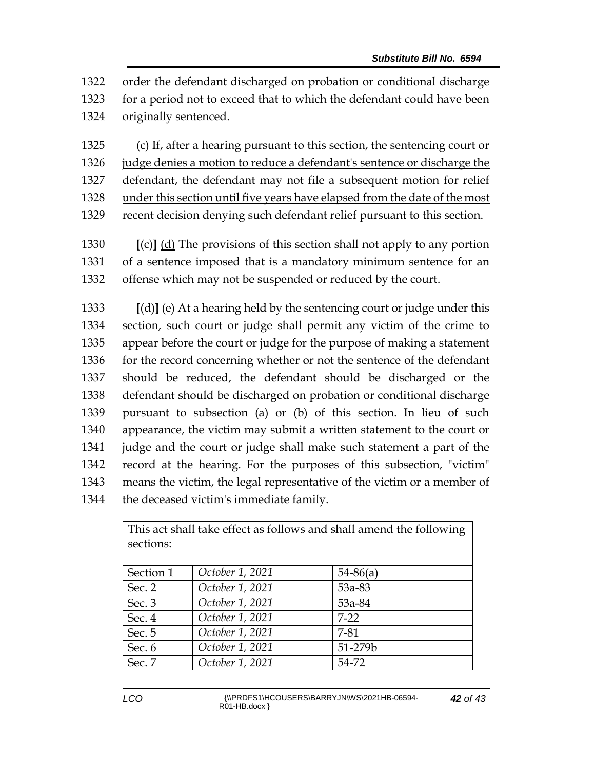order the defendant discharged on probation or conditional discharge for a period not to exceed that to which the defendant could have been originally sentenced.

 (c) If, after a hearing pursuant to this section, the sentencing court or judge denies a motion to reduce a defendant's sentence or discharge the defendant, the defendant may not file a subsequent motion for relief

under this section until five years have elapsed from the date of the most

recent decision denying such defendant relief pursuant to this section.

 **[**(c)**]** (d) The provisions of this section shall not apply to any portion of a sentence imposed that is a mandatory minimum sentence for an offense which may not be suspended or reduced by the court.

 **[**(d)**]** (e) At a hearing held by the sentencing court or judge under this section, such court or judge shall permit any victim of the crime to appear before the court or judge for the purpose of making a statement 1336 for the record concerning whether or not the sentence of the defendant should be reduced, the defendant should be discharged or the defendant should be discharged on probation or conditional discharge pursuant to subsection (a) or (b) of this section. In lieu of such appearance, the victim may submit a written statement to the court or judge and the court or judge shall make such statement a part of the record at the hearing. For the purposes of this subsection, "victim" means the victim, the legal representative of the victim or a member of the deceased victim's immediate family.

| This act shall take effect as follows and shall amend the following<br>sections: |                 |            |  |  |
|----------------------------------------------------------------------------------|-----------------|------------|--|--|
| Section 1                                                                        | October 1, 2021 | $54-86(a)$ |  |  |
| Sec. 2                                                                           | October 1, 2021 | 53a-83     |  |  |
| Sec. 3                                                                           | October 1, 2021 | 53a-84     |  |  |
| Sec. 4                                                                           | October 1, 2021 | $7-22$     |  |  |
| Sec. 5                                                                           | October 1, 2021 | 7-81       |  |  |
| Sec. 6                                                                           | October 1, 2021 | 51-279b    |  |  |
| Sec. 7                                                                           | October 1, 2021 | 54-72      |  |  |